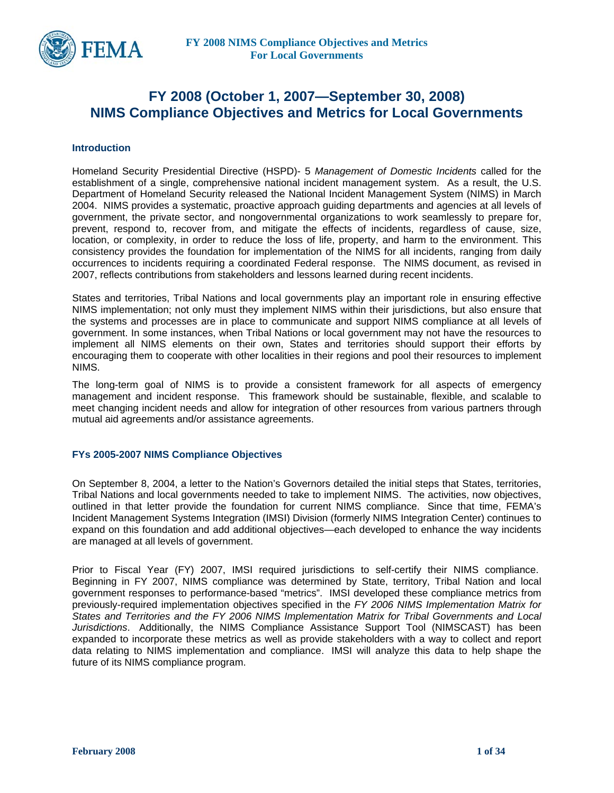

## **FY 2008 (October 1, 2007—September 30, 2008) NIMS Compliance Objectives and Metrics for Local Governments**

#### **Introduction**

Homeland Security Presidential Directive (HSPD)- 5 *Management of Domestic Incidents* called for the establishment of a single, comprehensive national incident management system. As a result, the U.S. Department of Homeland Security released the National Incident Management System (NIMS) in March 2004. NIMS provides a systematic, proactive approach guiding departments and agencies at all levels of government, the private sector, and nongovernmental organizations to work seamlessly to prepare for, prevent, respond to, recover from, and mitigate the effects of incidents, regardless of cause, size, location, or complexity, in order to reduce the loss of life, property, and harm to the environment. This consistency provides the foundation for implementation of the NIMS for all incidents, ranging from daily occurrences to incidents requiring a coordinated Federal response. The NIMS document, as revised in 2007, reflects contributions from stakeholders and lessons learned during recent incidents.

States and territories, Tribal Nations and local governments play an important role in ensuring effective NIMS implementation; not only must they implement NIMS within their jurisdictions, but also ensure that the systems and processes are in place to communicate and support NIMS compliance at all levels of government. In some instances, when Tribal Nations or local government may not have the resources to implement all NIMS elements on their own, States and territories should support their efforts by encouraging them to cooperate with other localities in their regions and pool their resources to implement NIMS.

The long-term goal of NIMS is to provide a consistent framework for all aspects of emergency management and incident response. This framework should be sustainable, flexible, and scalable to meet changing incident needs and allow for integration of other resources from various partners through mutual aid agreements and/or assistance agreements.

#### **FYs 2005-2007 NIMS Compliance Objectives**

On September 8, 2004, a letter to the Nation's Governors detailed the initial steps that States, territories, Tribal Nations and local governments needed to take to implement NIMS. The activities, now objectives, outlined in that letter provide the foundation for current NIMS compliance. Since that time, FEMA's Incident Management Systems Integration (IMSI) Division (formerly NIMS Integration Center) continues to expand on this foundation and add additional objectives—each developed to enhance the way incidents are managed at all levels of government.

Prior to Fiscal Year (FY) 2007, IMSI required jurisdictions to self-certify their NIMS compliance. Beginning in FY 2007, NIMS compliance was determined by State, territory, Tribal Nation and local government responses to performance-based "metrics". IMSI developed these compliance metrics from previously-required implementation objectives specified in the *FY 2006 NIMS Implementation Matrix for States and Territories and the FY 2006 NIMS Implementation Matrix for Tribal Governments and Local Jurisdictions*. Additionally, the NIMS Compliance Assistance Support Tool (NIMSCAST) has been expanded to incorporate these metrics as well as provide stakeholders with a way to collect and report data relating to NIMS implementation and compliance. IMSI will analyze this data to help shape the future of its NIMS compliance program.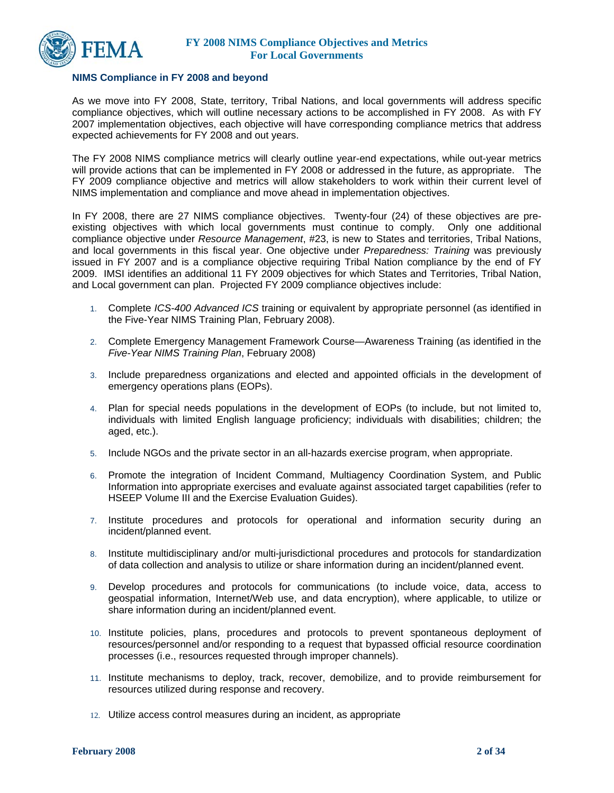

#### **NIMS Compliance in FY 2008 and beyond**

As we move into FY 2008, State, territory, Tribal Nations, and local governments will address specific compliance objectives, which will outline necessary actions to be accomplished in FY 2008. As with FY 2007 implementation objectives, each objective will have corresponding compliance metrics that address expected achievements for FY 2008 and out years.

The FY 2008 NIMS compliance metrics will clearly outline year-end expectations, while out-year metrics will provide actions that can be implemented in FY 2008 or addressed in the future, as appropriate. The FY 2009 compliance objective and metrics will allow stakeholders to work within their current level of NIMS implementation and compliance and move ahead in implementation objectives.

In FY 2008, there are 27 NIMS compliance objectives. Twenty-four (24) of these objectives are preexisting objectives with which local governments must continue to comply. Only one additional compliance objective under *Resource Management*, #23, is new to States and territories, Tribal Nations, and local governments in this fiscal year. One objective under *Preparedness: Training* was previously issued in FY 2007 and is a compliance objective requiring Tribal Nation compliance by the end of FY 2009. IMSI identifies an additional 11 FY 2009 objectives for which States and Territories, Tribal Nation, and Local government can plan. Projected FY 2009 compliance objectives include:

- 1. Complete *ICS-400 Advanced ICS* training or equivalent by appropriate personnel (as identified in the Five-Year NIMS Training Plan, February 2008).
- 2. Complete Emergency Management Framework Course—Awareness Training (as identified in the *Five-Year NIMS Training Plan*, February 2008)
- 3. Include preparedness organizations and elected and appointed officials in the development of emergency operations plans (EOPs).
- 4. Plan for special needs populations in the development of EOPs (to include, but not limited to, individuals with limited English language proficiency; individuals with disabilities; children; the aged, etc.).
- 5. Include NGOs and the private sector in an all-hazards exercise program, when appropriate.
- 6. Promote the integration of Incident Command, Multiagency Coordination System, and Public Information into appropriate exercises and evaluate against associated target capabilities (refer to HSEEP Volume III and the Exercise Evaluation Guides).
- 7. Institute procedures and protocols for operational and information security during an incident/planned event.
- 8. Institute multidisciplinary and/or multi-jurisdictional procedures and protocols for standardization of data collection and analysis to utilize or share information during an incident/planned event.
- 9. Develop procedures and protocols for communications (to include voice, data, access to geospatial information, Internet/Web use, and data encryption), where applicable, to utilize or share information during an incident/planned event.
- 10. Institute policies, plans, procedures and protocols to prevent spontaneous deployment of resources/personnel and/or responding to a request that bypassed official resource coordination processes (i.e., resources requested through improper channels).
- 11. Institute mechanisms to deploy, track, recover, demobilize, and to provide reimbursement for resources utilized during response and recovery.
- 12. Utilize access control measures during an incident, as appropriate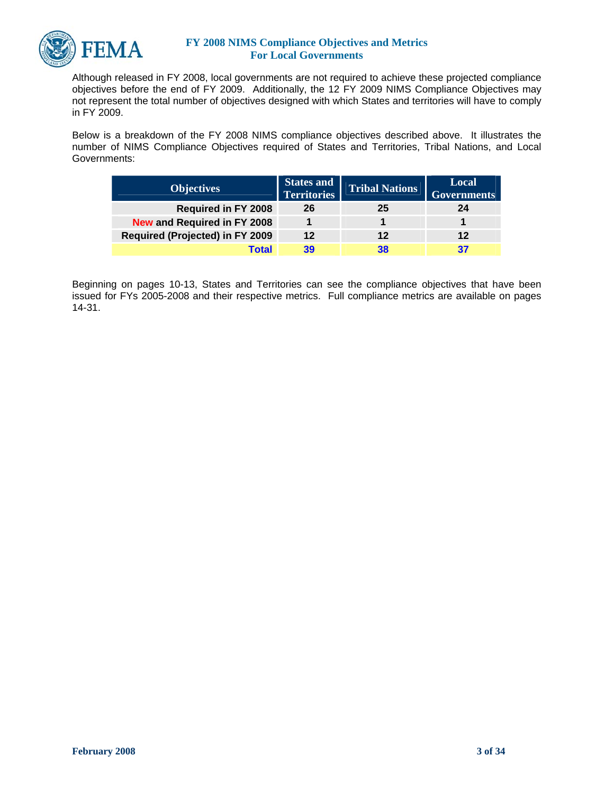

Although released in FY 2008, local governments are not required to achieve these projected compliance objectives before the end of FY 2009. Additionally, the 12 FY 2009 NIMS Compliance Objectives may not represent the total number of objectives designed with which States and territories will have to comply in FY 2009.

Below is a breakdown of the FY 2008 NIMS compliance objectives described above. It illustrates the number of NIMS Compliance Objectives required of States and Territories, Tribal Nations, and Local Governments:

| <b>Objectives</b>                      | <b>States and</b><br><b>Territories</b> | <b>Tribal Nations</b> | Local<br><b>Governments</b> |
|----------------------------------------|-----------------------------------------|-----------------------|-----------------------------|
| <b>Required in FY 2008</b>             | 26                                      | 25                    | 24                          |
| New and Required in FY 2008            |                                         |                       |                             |
| <b>Required (Projected) in FY 2009</b> | 12                                      | 12                    | 12                          |
| Total                                  | 39                                      | 38                    |                             |

Beginning on pages 10-13, States and Territories can see the compliance objectives that have been issued for FYs 2005-2008 and their respective metrics. Full compliance metrics are available on pages 14-31.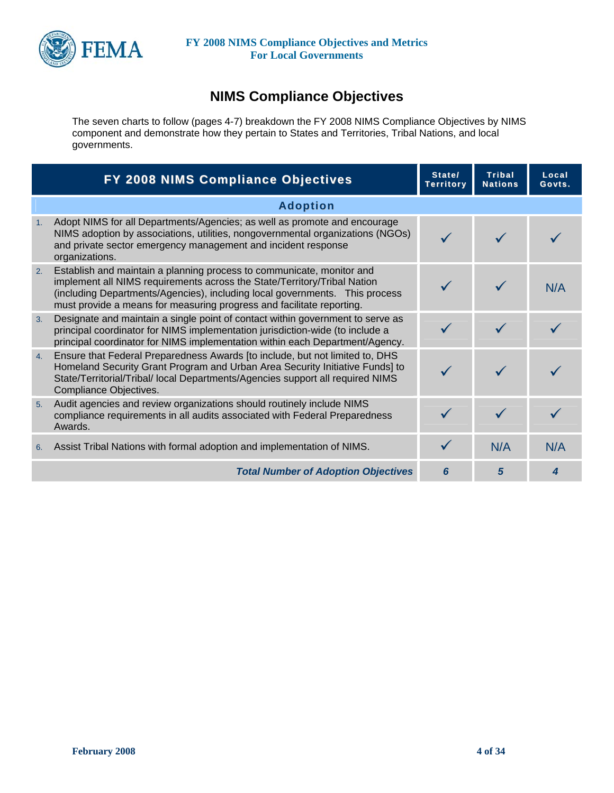

# **NIMS Compliance Objectives**

The seven charts to follow (pages 4-7) breakdown the FY 2008 NIMS Compliance Objectives by NIMS component and demonstrate how they pertain to States and Territories, Tribal Nations, and local governments.

|    | FY 2008 NIMS Compliance Objectives                                                                                                                                                                                                                                                                        | State/<br><b>Territory</b> | <b>Tribal</b><br><b>Nations</b> | Local<br>Govts. |
|----|-----------------------------------------------------------------------------------------------------------------------------------------------------------------------------------------------------------------------------------------------------------------------------------------------------------|----------------------------|---------------------------------|-----------------|
|    | <b>Adoption</b>                                                                                                                                                                                                                                                                                           |                            |                                 |                 |
| 1. | Adopt NIMS for all Departments/Agencies; as well as promote and encourage<br>NIMS adoption by associations, utilities, nongovernmental organizations (NGOs)<br>and private sector emergency management and incident response<br>organizations.                                                            |                            |                                 |                 |
| 2. | Establish and maintain a planning process to communicate, monitor and<br>implement all NIMS requirements across the State/Territory/Tribal Nation<br>(including Departments/Agencies), including local governments. This process<br>must provide a means for measuring progress and facilitate reporting. |                            |                                 | N/A             |
| 3. | Designate and maintain a single point of contact within government to serve as<br>principal coordinator for NIMS implementation jurisdiction-wide (to include a<br>principal coordinator for NIMS implementation within each Department/Agency.                                                           |                            |                                 |                 |
| 4. | Ensure that Federal Preparedness Awards [to include, but not limited to, DHS<br>Homeland Security Grant Program and Urban Area Security Initiative Funds] to<br>State/Territorial/Tribal/ local Departments/Agencies support all required NIMS<br>Compliance Objectives.                                  |                            |                                 |                 |
| 5. | Audit agencies and review organizations should routinely include NIMS<br>compliance requirements in all audits associated with Federal Preparedness<br>Awards.                                                                                                                                            |                            |                                 |                 |
| 6. | Assist Tribal Nations with formal adoption and implementation of NIMS.                                                                                                                                                                                                                                    |                            | N/A                             | N/A             |
|    | <b>Total Number of Adoption Objectives</b>                                                                                                                                                                                                                                                                | 6                          | 5                               |                 |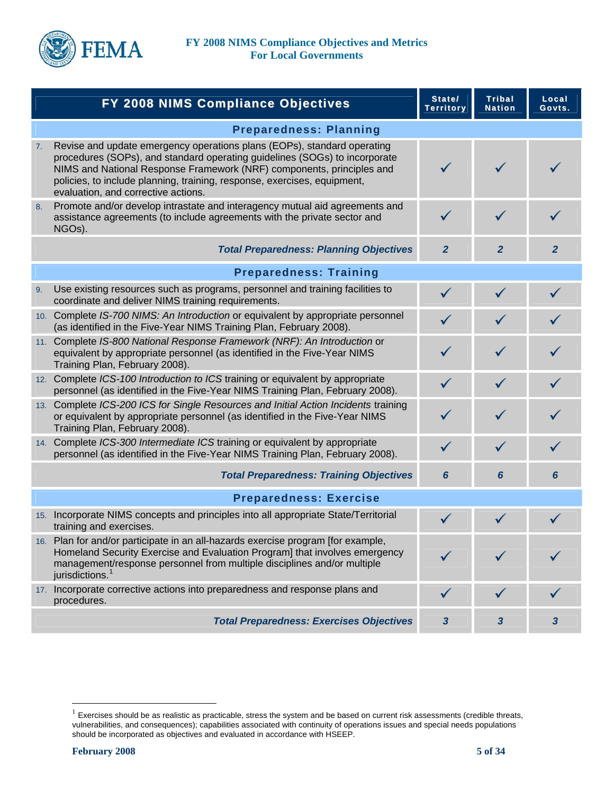

|    | FY 2008 NIMS Compliance Objectives                                                                                                                                                                                                                                                                                                                | State/<br><b>Territory</b> | <b>Tribal</b><br><b>Nation</b> | Local<br>Govts. |
|----|---------------------------------------------------------------------------------------------------------------------------------------------------------------------------------------------------------------------------------------------------------------------------------------------------------------------------------------------------|----------------------------|--------------------------------|-----------------|
|    | <b>Preparedness: Planning</b>                                                                                                                                                                                                                                                                                                                     |                            |                                |                 |
| 7. | Revise and update emergency operations plans (EOPs), standard operating<br>procedures (SOPs), and standard operating guidelines (SOGs) to incorporate<br>NIMS and National Response Framework (NRF) components, principles and<br>policies, to include planning, training, response, exercises, equipment,<br>evaluation, and corrective actions. |                            | $\checkmark$                   |                 |
| 8. | Promote and/or develop intrastate and interagency mutual aid agreements and<br>assistance agreements (to include agreements with the private sector and<br>NGOs).                                                                                                                                                                                 | $\checkmark$               |                                |                 |
|    | <b>Total Preparedness: Planning Objectives</b>                                                                                                                                                                                                                                                                                                    | $\overline{2}$             | $\mathbf{2}$                   | $\mathbf{2}$    |
|    | <b>Preparedness: Training</b>                                                                                                                                                                                                                                                                                                                     |                            |                                |                 |
| 9. | Use existing resources such as programs, personnel and training facilities to<br>coordinate and deliver NIMS training requirements.                                                                                                                                                                                                               | $\checkmark$               | $\checkmark$                   |                 |
|    | 10. Complete IS-700 NIMS: An Introduction or equivalent by appropriate personnel<br>(as identified in the Five-Year NIMS Training Plan, February 2008).                                                                                                                                                                                           |                            |                                |                 |
|    | 11. Complete IS-800 National Response Framework (NRF): An Introduction or<br>equivalent by appropriate personnel (as identified in the Five-Year NIMS<br>Training Plan, February 2008).                                                                                                                                                           | ✓                          |                                |                 |
|    | 12. Complete ICS-100 Introduction to ICS training or equivalent by appropriate<br>personnel (as identified in the Five-Year NIMS Training Plan, February 2008).                                                                                                                                                                                   | $\checkmark$               | $\checkmark$                   |                 |
|    | 13. Complete ICS-200 ICS for Single Resources and Initial Action Incidents training<br>or equivalent by appropriate personnel (as identified in the Five-Year NIMS<br>Training Plan, February 2008).                                                                                                                                              |                            |                                |                 |
|    | 14. Complete ICS-300 Intermediate ICS training or equivalent by appropriate<br>personnel (as identified in the Five-Year NIMS Training Plan, February 2008).                                                                                                                                                                                      | $\checkmark$               | $\checkmark$                   |                 |
|    | <b>Total Preparedness: Training Objectives</b>                                                                                                                                                                                                                                                                                                    | 6                          | 6                              | 6               |
|    | <b>Preparedness: Exercise</b>                                                                                                                                                                                                                                                                                                                     |                            |                                |                 |
|    | 15. Incorporate NIMS concepts and principles into all appropriate State/Territorial<br>training and exercises.                                                                                                                                                                                                                                    |                            |                                |                 |
|    | 16. Plan for and/or participate in an all-hazards exercise program [for example,<br>Homeland Security Exercise and Evaluation Program] that involves emergency<br>management/response personnel from multiple disciplines and/or multiple<br>jurisdictions.                                                                                       |                            |                                |                 |
|    | 17. Incorporate corrective actions into preparedness and response plans and<br>procedures.                                                                                                                                                                                                                                                        |                            |                                |                 |
|    | <b>Total Preparedness: Exercises Objectives</b>                                                                                                                                                                                                                                                                                                   | $\mathbf{3}$               | 3                              | 3               |

 $\overline{a}$ 

<span id="page-4-0"></span> $1$  Exercises should be as realistic as practicable, stress the system and be based on current risk assessments (credible threats, vulnerabilities, and consequences); capabilities associated with continuity of operations issues and special needs populations should be incorporated as objectives and evaluated in accordance with HSEEP.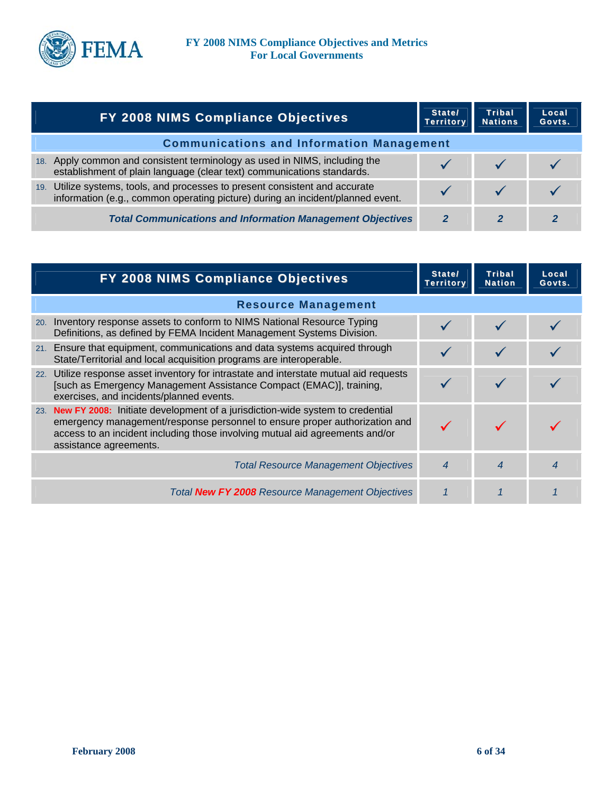

|     | <b>FY 2008 NIMS Compliance Objectives</b>                                                                                                                  | State/<br><b>Territory</b> | <b>Tribal</b><br><b>Nations</b> | Local<br>Govts. |
|-----|------------------------------------------------------------------------------------------------------------------------------------------------------------|----------------------------|---------------------------------|-----------------|
|     | <b>Communications and Information Management</b>                                                                                                           |                            |                                 |                 |
| 18. | Apply common and consistent terminology as used in NIMS, including the<br>establishment of plain language (clear text) communications standards.           |                            |                                 |                 |
| 19. | Utilize systems, tools, and processes to present consistent and accurate<br>information (e.g., common operating picture) during an incident/planned event. |                            |                                 |                 |
|     | <b>Total Communications and Information Management Objectives</b>                                                                                          |                            |                                 |                 |

|     | FY 2008 NIMS Compliance Objectives                                                                                                                                                                                                                                    | State/<br><b>Territory</b> | <b>Tribal</b><br><b>Nation</b> | Local<br>Govts. |
|-----|-----------------------------------------------------------------------------------------------------------------------------------------------------------------------------------------------------------------------------------------------------------------------|----------------------------|--------------------------------|-----------------|
|     | <b>Resource Management</b>                                                                                                                                                                                                                                            |                            |                                |                 |
| 20. | Inventory response assets to conform to NIMS National Resource Typing<br>Definitions, as defined by FEMA Incident Management Systems Division.                                                                                                                        |                            |                                |                 |
|     | 21. Ensure that equipment, communications and data systems acquired through<br>State/Territorial and local acquisition programs are interoperable.                                                                                                                    |                            |                                |                 |
|     | 22. Utilize response asset inventory for intrastate and interstate mutual aid requests<br>[such as Emergency Management Assistance Compact (EMAC)], training,<br>exercises, and incidents/planned events.                                                             |                            |                                |                 |
| 23. | New FY 2008: Initiate development of a jurisdiction-wide system to credential<br>emergency management/response personnel to ensure proper authorization and<br>access to an incident including those involving mutual aid agreements and/or<br>assistance agreements. |                            |                                |                 |
|     | <b>Total Resource Management Objectives</b>                                                                                                                                                                                                                           | 4                          | $\boldsymbol{4}$               |                 |
|     | Total New FY 2008 Resource Management Objectives                                                                                                                                                                                                                      |                            |                                |                 |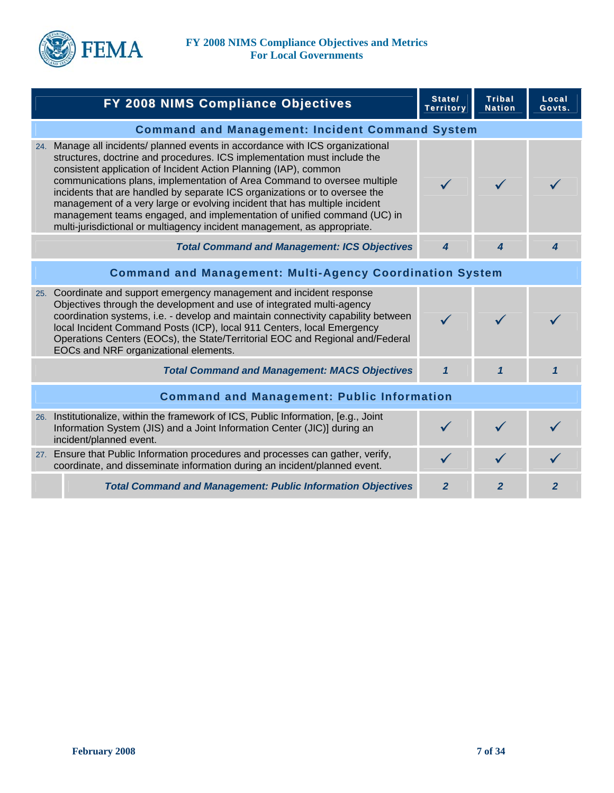

| FY 2008 NIMS Compliance Objectives                                                                                                                                                                                                                                                                                                                                                                                                                                                                                                                                                                                            | State/<br><b>Territory</b> | Tribal<br><b>Nation</b> | Local<br>Govts. |
|-------------------------------------------------------------------------------------------------------------------------------------------------------------------------------------------------------------------------------------------------------------------------------------------------------------------------------------------------------------------------------------------------------------------------------------------------------------------------------------------------------------------------------------------------------------------------------------------------------------------------------|----------------------------|-------------------------|-----------------|
| <b>Command and Management: Incident Command System</b>                                                                                                                                                                                                                                                                                                                                                                                                                                                                                                                                                                        |                            |                         |                 |
| 24. Manage all incidents/ planned events in accordance with ICS organizational<br>structures, doctrine and procedures. ICS implementation must include the<br>consistent application of Incident Action Planning (IAP), common<br>communications plans, implementation of Area Command to oversee multiple<br>incidents that are handled by separate ICS organizations or to oversee the<br>management of a very large or evolving incident that has multiple incident<br>management teams engaged, and implementation of unified command (UC) in<br>multi-jurisdictional or multiagency incident management, as appropriate. |                            |                         |                 |
| <b>Total Command and Management: ICS Objectives</b>                                                                                                                                                                                                                                                                                                                                                                                                                                                                                                                                                                           | 4                          | 4                       | 4               |
| <b>Command and Management: Multi-Agency Coordination System</b>                                                                                                                                                                                                                                                                                                                                                                                                                                                                                                                                                               |                            |                         |                 |
| 25. Coordinate and support emergency management and incident response<br>Objectives through the development and use of integrated multi-agency<br>coordination systems, i.e. - develop and maintain connectivity capability between<br>local Incident Command Posts (ICP), local 911 Centers, local Emergency<br>Operations Centers (EOCs), the State/Territorial EOC and Regional and/Federal<br>EOCs and NRF organizational elements.                                                                                                                                                                                       | $\checkmark$               |                         |                 |
| <b>Total Command and Management: MACS Objectives</b>                                                                                                                                                                                                                                                                                                                                                                                                                                                                                                                                                                          | $\mathbf{1}$               | $\mathbf{1}$            | $\mathbf{1}$    |
| <b>Command and Management: Public Information</b>                                                                                                                                                                                                                                                                                                                                                                                                                                                                                                                                                                             |                            |                         |                 |
| 26. Institutionalize, within the framework of ICS, Public Information, [e.g., Joint<br>Information System (JIS) and a Joint Information Center (JIC)] during an<br>incident/planned event.                                                                                                                                                                                                                                                                                                                                                                                                                                    |                            |                         |                 |
| 27. Ensure that Public Information procedures and processes can gather, verify,<br>coordinate, and disseminate information during an incident/planned event.                                                                                                                                                                                                                                                                                                                                                                                                                                                                  | $\checkmark$               |                         |                 |
| <b>Total Command and Management: Public Information Objectives</b>                                                                                                                                                                                                                                                                                                                                                                                                                                                                                                                                                            | $\mathbf{2}$               | $\mathbf{2}$            | $\mathbf{2}$    |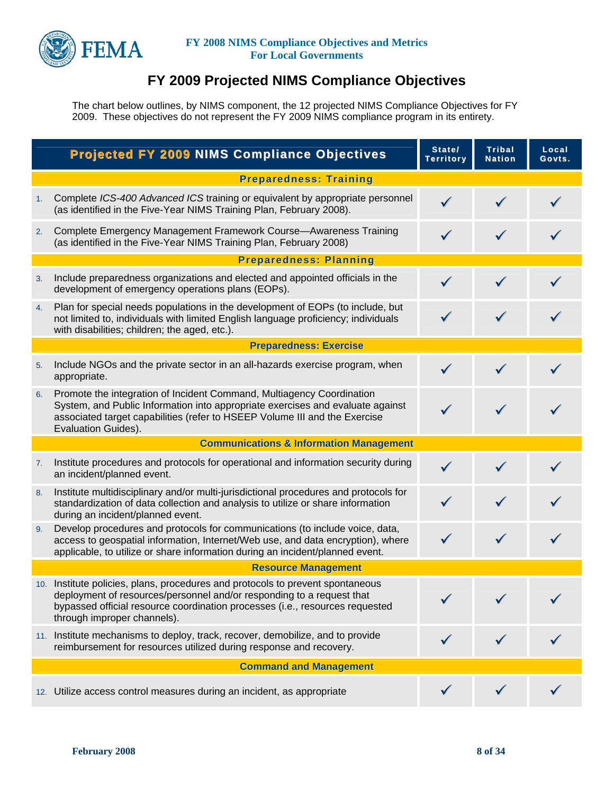

# **FY 2009 Projected NIMS Compliance Objectives**

The chart below outlines, by NIMS component, the 12 projected NIMS Compliance Objectives for FY 2009. These objectives do not represent the FY 2009 NIMS compliance program in its entirety.

|    | <b>Projected FY 2009 NIMS Compliance Objectives</b>                                                                                                                                                                                                                    | State/<br><b>Territory</b> | <b>Tribal</b><br><b>Nation</b> | Local<br>Govts. |
|----|------------------------------------------------------------------------------------------------------------------------------------------------------------------------------------------------------------------------------------------------------------------------|----------------------------|--------------------------------|-----------------|
|    | <b>Preparedness: Training</b>                                                                                                                                                                                                                                          |                            |                                |                 |
| 1. | Complete ICS-400 Advanced ICS training or equivalent by appropriate personnel<br>(as identified in the Five-Year NIMS Training Plan, February 2008).                                                                                                                   | $\checkmark$               |                                |                 |
| 2. | Complete Emergency Management Framework Course-Awareness Training<br>(as identified in the Five-Year NIMS Training Plan, February 2008)                                                                                                                                | $\checkmark$               | $\checkmark$                   |                 |
|    | <b>Preparedness: Planning</b>                                                                                                                                                                                                                                          |                            |                                |                 |
| 3. | Include preparedness organizations and elected and appointed officials in the<br>development of emergency operations plans (EOPs).                                                                                                                                     | $\checkmark$               |                                |                 |
| 4. | Plan for special needs populations in the development of EOPs (to include, but<br>not limited to, individuals with limited English language proficiency; individuals<br>with disabilities; children; the aged, etc.).                                                  |                            |                                |                 |
|    | <b>Preparedness: Exercise</b>                                                                                                                                                                                                                                          |                            |                                |                 |
| 5. | Include NGOs and the private sector in an all-hazards exercise program, when<br>appropriate.                                                                                                                                                                           | $\checkmark$               |                                |                 |
| 6. | Promote the integration of Incident Command, Multiagency Coordination<br>System, and Public Information into appropriate exercises and evaluate against<br>associated target capabilities (refer to HSEEP Volume III and the Exercise<br>Evaluation Guides).           | $\checkmark$               |                                |                 |
|    | <b>Communications &amp; Information Management</b>                                                                                                                                                                                                                     |                            |                                |                 |
| 7. | Institute procedures and protocols for operational and information security during<br>an incident/planned event.                                                                                                                                                       |                            |                                |                 |
| 8. | Institute multidisciplinary and/or multi-jurisdictional procedures and protocols for<br>standardization of data collection and analysis to utilize or share information<br>during an incident/planned event.                                                           |                            |                                |                 |
| 9. | Develop procedures and protocols for communications (to include voice, data,<br>access to geospatial information, Internet/Web use, and data encryption), where<br>applicable, to utilize or share information during an incident/planned event.                       |                            | $\checkmark$                   |                 |
|    | <b>Resource Management</b>                                                                                                                                                                                                                                             |                            |                                |                 |
|    | 10. Institute policies, plans, procedures and protocols to prevent spontaneous<br>deployment of resources/personnel and/or responding to a request that<br>bypassed official resource coordination processes (i.e., resources requested<br>through improper channels). |                            |                                |                 |
|    | 11. Institute mechanisms to deploy, track, recover, demobilize, and to provide<br>reimbursement for resources utilized during response and recovery.                                                                                                                   |                            |                                |                 |
|    | <b>Command and Management</b>                                                                                                                                                                                                                                          |                            |                                |                 |
|    | 12. Utilize access control measures during an incident, as appropriate                                                                                                                                                                                                 |                            |                                |                 |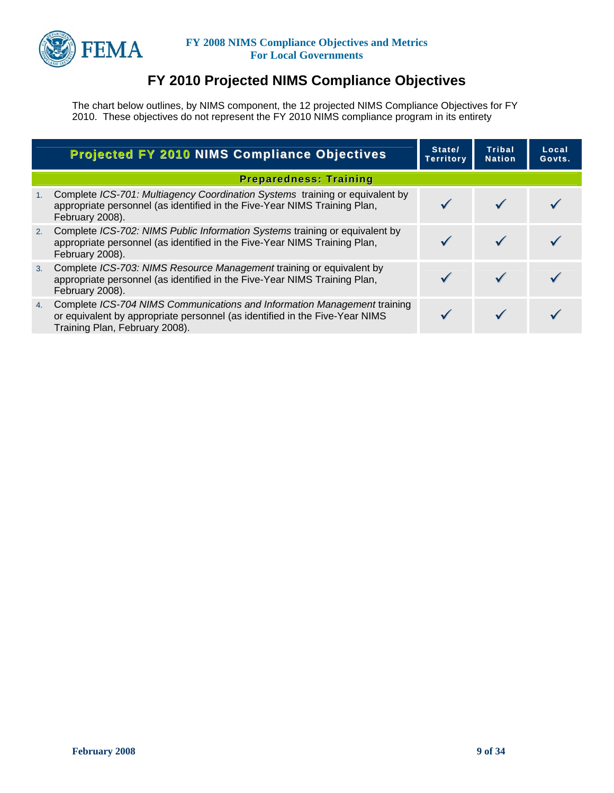

# **FY 2010 Projected NIMS Compliance Objectives**

The chart below outlines, by NIMS component, the 12 projected NIMS Compliance Objectives for FY 2010. These objectives do not represent the FY 2010 NIMS compliance program in its entirety

|    | <b>Projected FY 2010 NIMS Compliance Objectives</b>                                                                                                                                       | State/<br><b>Territory</b> | Tribal<br><b>Nation</b> | Local<br>Govts. |
|----|-------------------------------------------------------------------------------------------------------------------------------------------------------------------------------------------|----------------------------|-------------------------|-----------------|
|    | <b>Preparedness: Training</b>                                                                                                                                                             |                            |                         |                 |
| 1. | Complete ICS-701: Multiagency Coordination Systems training or equivalent by<br>appropriate personnel (as identified in the Five-Year NIMS Training Plan,<br>February 2008).              |                            |                         |                 |
| 2. | Complete ICS-702: NIMS Public Information Systems training or equivalent by<br>appropriate personnel (as identified in the Five-Year NIMS Training Plan,<br>February 2008).               |                            |                         |                 |
| 3. | Complete ICS-703: NIMS Resource Management training or equivalent by<br>appropriate personnel (as identified in the Five-Year NIMS Training Plan,<br>February 2008).                      |                            |                         |                 |
| 4. | Complete ICS-704 NIMS Communications and Information Management training<br>or equivalent by appropriate personnel (as identified in the Five-Year NIMS<br>Training Plan, February 2008). |                            |                         |                 |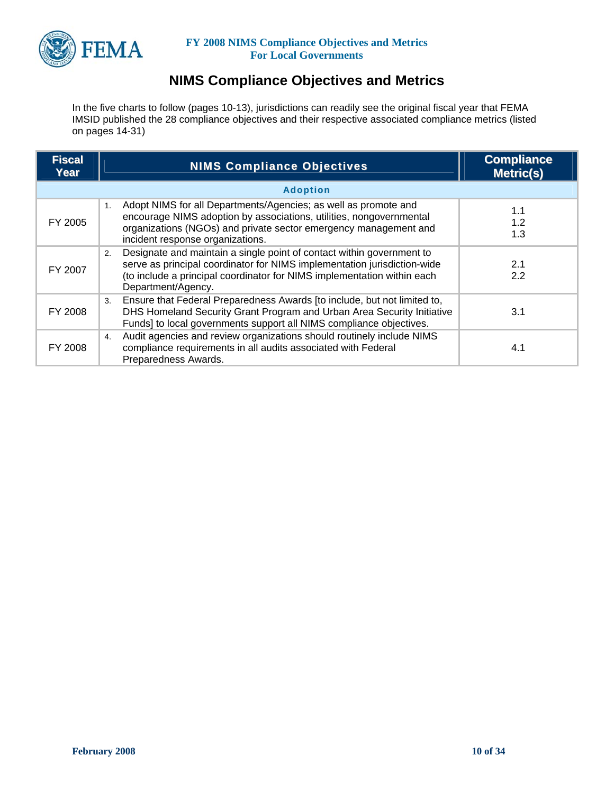

## **NIMS Compliance Objectives and Metrics**

In the five charts to follow (pages 10-13), jurisdictions can readily see the original fiscal year that FEMA IMSID published the 28 compliance objectives and their respective associated compliance metrics (listed on pages 14-31)

| <b>Fiscal</b><br>Year | <b>NIMS Compliance Objectives</b>                                                                                                                                                                                                                        | <b>Compliance</b><br><b>Metric(s)</b> |
|-----------------------|----------------------------------------------------------------------------------------------------------------------------------------------------------------------------------------------------------------------------------------------------------|---------------------------------------|
|                       | <b>Adoption</b>                                                                                                                                                                                                                                          |                                       |
| FY 2005               | Adopt NIMS for all Departments/Agencies; as well as promote and<br>1.<br>encourage NIMS adoption by associations, utilities, nongovernmental<br>organizations (NGOs) and private sector emergency management and<br>incident response organizations.     | 1.1<br>1.2<br>1.3                     |
| FY 2007               | Designate and maintain a single point of contact within government to<br>2.<br>serve as principal coordinator for NIMS implementation jurisdiction-wide<br>(to include a principal coordinator for NIMS implementation within each<br>Department/Agency. | 2.1<br>2.2                            |
| FY 2008               | Ensure that Federal Preparedness Awards [to include, but not limited to,<br>3.<br>DHS Homeland Security Grant Program and Urban Area Security Initiative<br>Funds] to local governments support all NIMS compliance objectives.                          | 3.1                                   |
| FY 2008               | Audit agencies and review organizations should routinely include NIMS<br>4.<br>compliance requirements in all audits associated with Federal<br>Preparedness Awards.                                                                                     | 4.1                                   |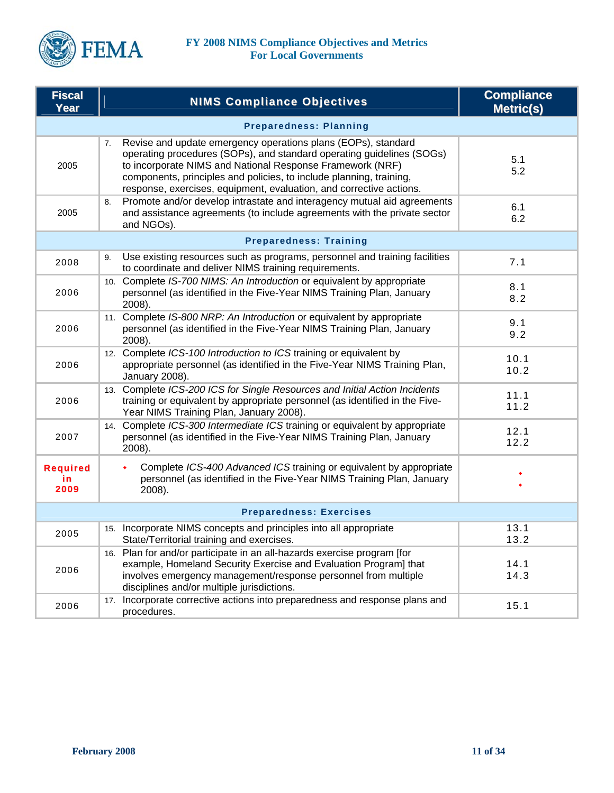

| <b>Fiscal</b><br>Year          | <b>NIMS Compliance Objectives</b>                                                                                                                                                                                                                                                                                                                       | <b>Compliance</b><br><b>Metric(s)</b> |  |  |
|--------------------------------|---------------------------------------------------------------------------------------------------------------------------------------------------------------------------------------------------------------------------------------------------------------------------------------------------------------------------------------------------------|---------------------------------------|--|--|
|                                | <b>Preparedness: Planning</b>                                                                                                                                                                                                                                                                                                                           |                                       |  |  |
| 2005                           | Revise and update emergency operations plans (EOPs), standard<br>7.<br>operating procedures (SOPs), and standard operating guidelines (SOGs)<br>to incorporate NIMS and National Response Framework (NRF)<br>components, principles and policies, to include planning, training,<br>response, exercises, equipment, evaluation, and corrective actions. | 5.1<br>5.2                            |  |  |
| 2005                           | Promote and/or develop intrastate and interagency mutual aid agreements<br>8.<br>and assistance agreements (to include agreements with the private sector<br>and NGOs).                                                                                                                                                                                 | 6.1<br>6.2                            |  |  |
|                                | <b>Preparedness: Training</b>                                                                                                                                                                                                                                                                                                                           |                                       |  |  |
| 2008                           | Use existing resources such as programs, personnel and training facilities<br>9.<br>to coordinate and deliver NIMS training requirements.                                                                                                                                                                                                               | 7.1                                   |  |  |
| 2006                           | 10. Complete IS-700 NIMS: An Introduction or equivalent by appropriate<br>personnel (as identified in the Five-Year NIMS Training Plan, January<br>2008).                                                                                                                                                                                               | 8.1<br>8.2                            |  |  |
| 2006                           | 11. Complete IS-800 NRP: An Introduction or equivalent by appropriate<br>personnel (as identified in the Five-Year NIMS Training Plan, January<br>2008).                                                                                                                                                                                                | 9.1<br>9.2                            |  |  |
| 2006                           | 12. Complete ICS-100 Introduction to ICS training or equivalent by<br>appropriate personnel (as identified in the Five-Year NIMS Training Plan,<br>January 2008).                                                                                                                                                                                       | 10.1<br>10.2                          |  |  |
| 2006                           | 13. Complete ICS-200 ICS for Single Resources and Initial Action Incidents<br>training or equivalent by appropriate personnel (as identified in the Five-<br>Year NIMS Training Plan, January 2008).                                                                                                                                                    | 11.1<br>11.2                          |  |  |
| 2007                           | 14. Complete ICS-300 Intermediate ICS training or equivalent by appropriate<br>personnel (as identified in the Five-Year NIMS Training Plan, January<br>2008).                                                                                                                                                                                          | 12.1<br>12.2                          |  |  |
| <b>Required</b><br>in<br>2009  | Complete ICS-400 Advanced ICS training or equivalent by appropriate<br>personnel (as identified in the Five-Year NIMS Training Plan, January<br>2008).                                                                                                                                                                                                  |                                       |  |  |
| <b>Preparedness: Exercises</b> |                                                                                                                                                                                                                                                                                                                                                         |                                       |  |  |
| 2005                           | 15. Incorporate NIMS concepts and principles into all appropriate<br>State/Territorial training and exercises.                                                                                                                                                                                                                                          | 13.1<br>13.2                          |  |  |
| 2006                           | 16. Plan for and/or participate in an all-hazards exercise program [for<br>example, Homeland Security Exercise and Evaluation Program] that<br>involves emergency management/response personnel from multiple<br>disciplines and/or multiple jurisdictions.                                                                                             | 14.1<br>14.3                          |  |  |
| 2006                           | 17. Incorporate corrective actions into preparedness and response plans and<br>procedures.                                                                                                                                                                                                                                                              | 15.1                                  |  |  |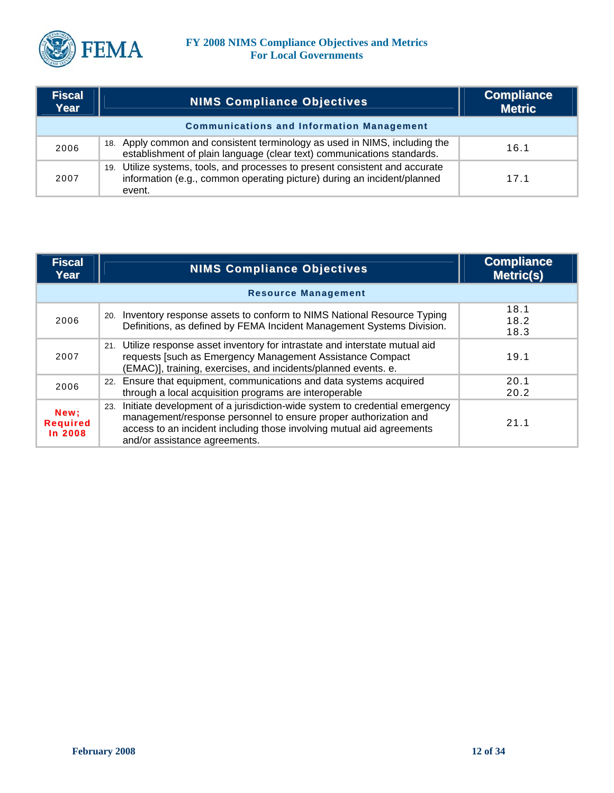

| <b>Fiscal</b><br>Year | <b>NIMS Compliance Objectives</b>                                                                                                                                 | <b>Compliance</b><br><b>Metric</b> |
|-----------------------|-------------------------------------------------------------------------------------------------------------------------------------------------------------------|------------------------------------|
|                       | <b>Communications and Information Management</b>                                                                                                                  |                                    |
| 2006                  | 18. Apply common and consistent terminology as used in NIMS, including the<br>establishment of plain language (clear text) communications standards.              | 16.1                               |
| 2007                  | 19. Utilize systems, tools, and processes to present consistent and accurate<br>information (e.g., common operating picture) during an incident/planned<br>event. | 17.1                               |

| <b>Fiscal</b><br>Year              | <b>NIMS Compliance Objectives</b>                                                                                                                                                                                                                               | <b>Compliance</b><br><b>Metric(s)</b> |
|------------------------------------|-----------------------------------------------------------------------------------------------------------------------------------------------------------------------------------------------------------------------------------------------------------------|---------------------------------------|
|                                    | <b>Resource Management</b>                                                                                                                                                                                                                                      |                                       |
| 2006                               | 20. Inventory response assets to conform to NIMS National Resource Typing<br>Definitions, as defined by FEMA Incident Management Systems Division.                                                                                                              | 18.1<br>18.2<br>18.3                  |
| 2007                               | 21. Utilize response asset inventory for intrastate and interstate mutual aid<br>requests [such as Emergency Management Assistance Compact<br>(EMAC)], training, exercises, and incidents/planned events. e.                                                    | 19.1                                  |
| 2006                               | 22. Ensure that equipment, communications and data systems acquired<br>through a local acquisition programs are interoperable                                                                                                                                   | 20.1<br>20.2                          |
| New:<br><b>Required</b><br>In 2008 | Initiate development of a jurisdiction-wide system to credential emergency<br>23.<br>management/response personnel to ensure proper authorization and<br>access to an incident including those involving mutual aid agreements<br>and/or assistance agreements. | 21.1                                  |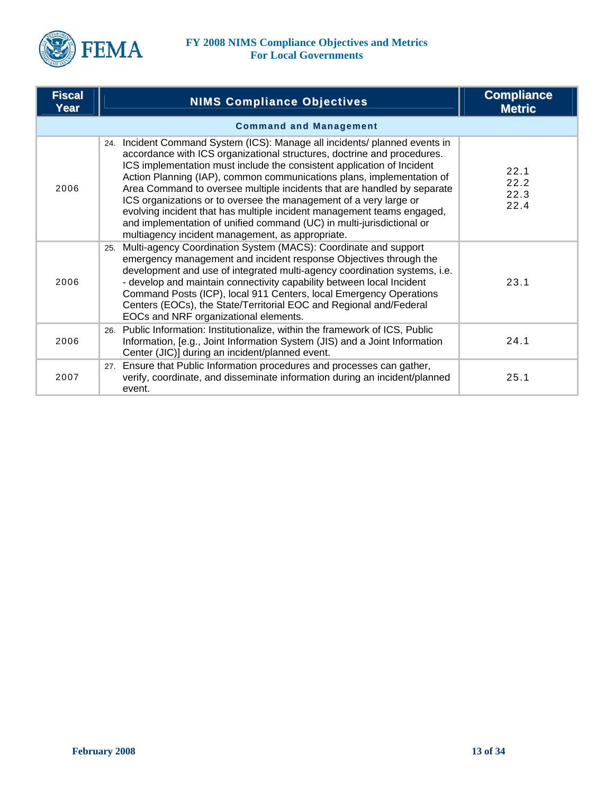

| <b>Fiscal</b><br>Year | <b>NIMS Compliance Objectives</b>                                                                                                                                                                                                                                                                                                                                                                                                                                                                                                                                                                                                                               | <b>Compliance</b><br><b>Metric</b> |
|-----------------------|-----------------------------------------------------------------------------------------------------------------------------------------------------------------------------------------------------------------------------------------------------------------------------------------------------------------------------------------------------------------------------------------------------------------------------------------------------------------------------------------------------------------------------------------------------------------------------------------------------------------------------------------------------------------|------------------------------------|
|                       | <b>Command and Management</b>                                                                                                                                                                                                                                                                                                                                                                                                                                                                                                                                                                                                                                   |                                    |
| 2006                  | 24. Incident Command System (ICS): Manage all incidents/ planned events in<br>accordance with ICS organizational structures, doctrine and procedures.<br>ICS implementation must include the consistent application of Incident<br>Action Planning (IAP), common communications plans, implementation of<br>Area Command to oversee multiple incidents that are handled by separate<br>ICS organizations or to oversee the management of a very large or<br>evolving incident that has multiple incident management teams engaged,<br>and implementation of unified command (UC) in multi-jurisdictional or<br>multiagency incident management, as appropriate. | 22.1<br>22.2<br>22.3<br>22.4       |
| 2006                  | Multi-agency Coordination System (MACS): Coordinate and support<br>25.<br>emergency management and incident response Objectives through the<br>development and use of integrated multi-agency coordination systems, i.e.<br>- develop and maintain connectivity capability between local Incident<br>Command Posts (ICP), local 911 Centers, local Emergency Operations<br>Centers (EOCs), the State/Territorial EOC and Regional and/Federal<br>EOCs and NRF organizational elements.                                                                                                                                                                          | 23.1                               |
| 2006                  | Public Information: Institutionalize, within the framework of ICS, Public<br>26.<br>Information, [e.g., Joint Information System (JIS) and a Joint Information<br>Center (JIC)] during an incident/planned event.                                                                                                                                                                                                                                                                                                                                                                                                                                               | 24.1                               |
| 2007                  | 27. Ensure that Public Information procedures and processes can gather,<br>verify, coordinate, and disseminate information during an incident/planned<br>event.                                                                                                                                                                                                                                                                                                                                                                                                                                                                                                 | 25.1                               |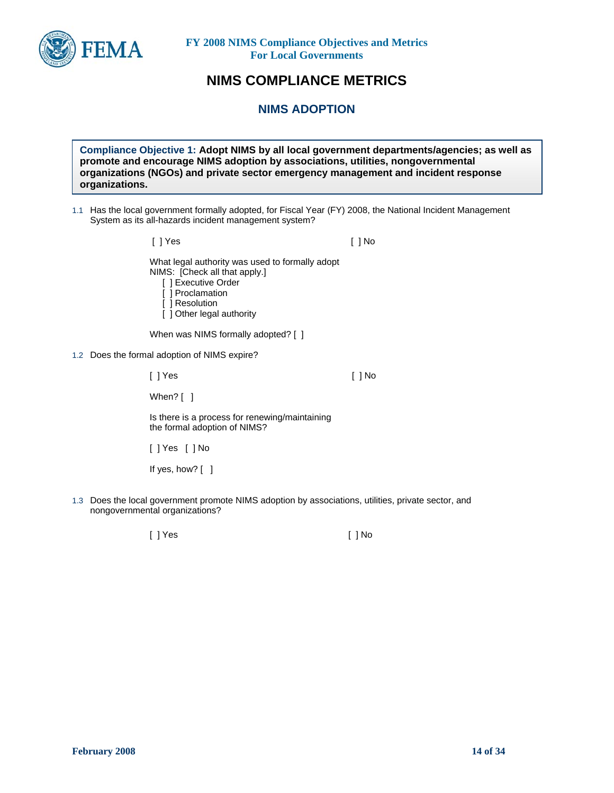

## **NIMS COMPLIANCE METRICS**

**NIMS ADOPTION** 

**Compliance Objective 1: Adopt NIMS by all local government departments/agencies; as well as promote and encourage NIMS adoption by associations, utilities, nongovernmental organizations (NGOs) and private sector emergency management and incident response organizations.** 

1.1 Has the local government formally adopted, for Fiscal Year (FY) 2008, the National Incident Management System as its all-hazards incident management system?

> [ ] Yes [ ] No What legal authority was used to formally adopt NIMS: [Check all that apply.] [ ] Executive Order [ ] Proclamation [ ] Resolution

[ ] Other legal authority

When was NIMS formally adopted? [ ]

1.2 Does the formal adoption of NIMS expire?

[ ] Yes [ ] No

When? [ ]

Is there is a process for renewing/maintaining the formal adoption of NIMS?

[ ] Yes [ ] No

If yes, how? [ ]

1.3 Does the local government promote NIMS adoption by associations, utilities, private sector, and nongovernmental organizations?

[ ] Yes [ ] No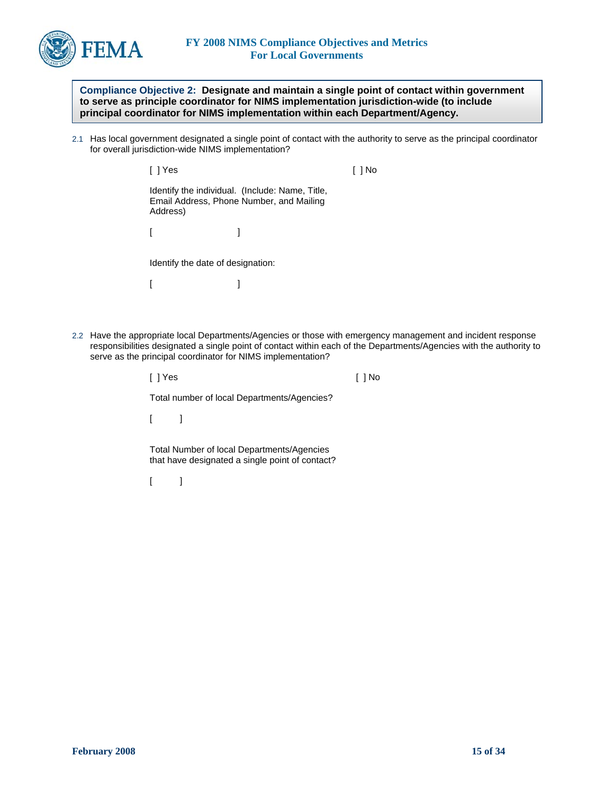

**Compliance Objective 2: Designate and maintain a single point of contact within government to serve as principle coordinator for NIMS implementation jurisdiction-wide (to include principal coordinator for NIMS implementation within each Department/Agency.** 

2.1 Has local government designated a single point of contact with the authority to serve as the principal coordinator for overall jurisdiction-wide NIMS implementation?

| l IYes   |                                                                                             |  |
|----------|---------------------------------------------------------------------------------------------|--|
| Address) | Identify the individual. (Include: Name, Title,<br>Email Address, Phone Number, and Mailing |  |
|          |                                                                                             |  |
|          | Identify the date of designation:                                                           |  |

 $[$   $]$ 

2.2 Have the appropriate local Departments/Agencies or those with emergency management and incident response responsibilities designated a single point of contact within each of the Departments/Agencies with the authority to serve as the principal coordinator for NIMS implementation?

| [ ] Yes                                                                                       |  |
|-----------------------------------------------------------------------------------------------|--|
| Total number of local Departments/Agencies?                                                   |  |
|                                                                                               |  |
| Total Number of local Departments/Agencies<br>that have designated a single point of contact? |  |
|                                                                                               |  |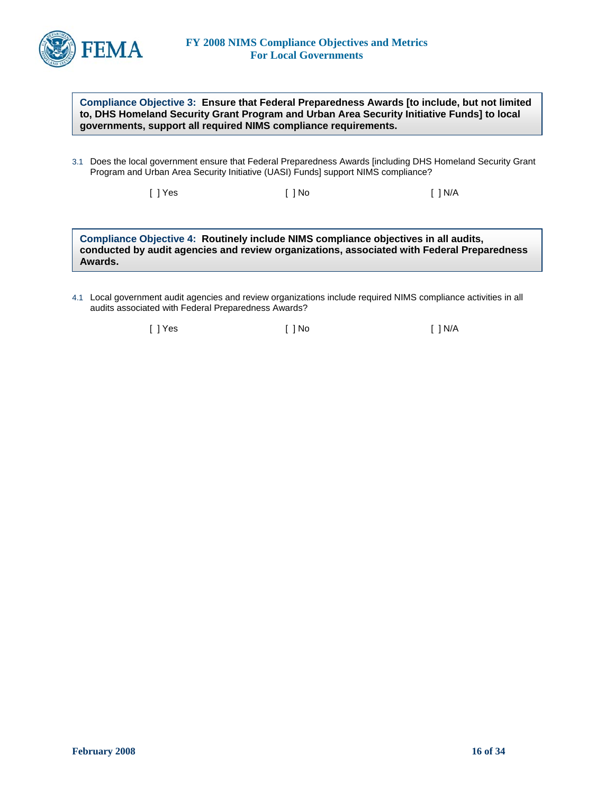

**Compliance Objective 3: Ensure that Federal Preparedness Awards [to include, but not limited to, DHS Homeland Security Grant Program and Urban Area Security Initiative Funds] to local governments, support all required NIMS compliance requirements.** 

3.1 Does the local government ensure that Federal Preparedness Awards [including DHS Homeland Security Grant Program and Urban Area Security Initiative (UASI) Funds] support NIMS compliance?

[ ] Yes [ ] No [ ] N/A

**Compliance Objective 4: Routinely include NIMS compliance objectives in all audits, conducted by audit agencies and review organizations, associated with Federal Preparedness Awards.** 

4.1 Local government audit agencies and review organizations include required NIMS compliance activities in all audits associated with Federal Preparedness Awards?

[ ] Yes [ ] No [ ] N/A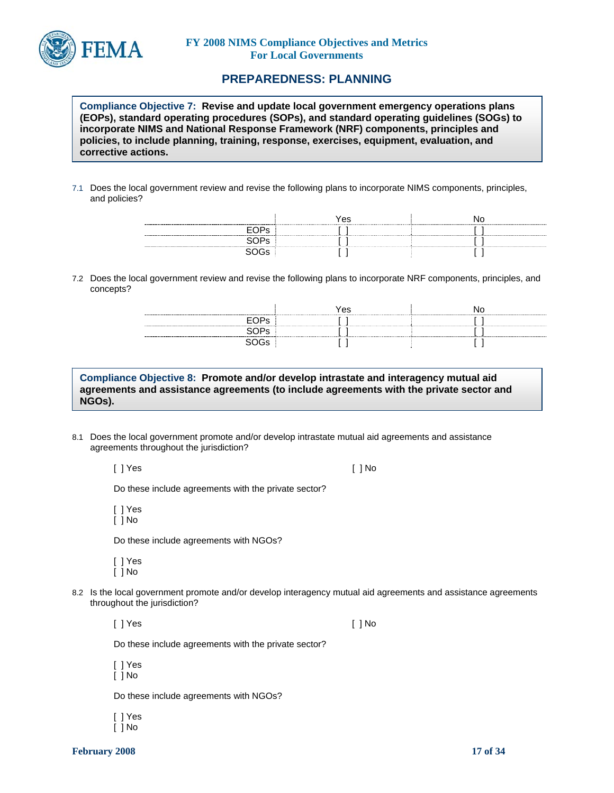

## **PREPAREDNESS: PLANNING**

**Compliance Objective 7: Revise and update local government emergency operations plans (EOPs), standard operating procedures (SOPs), and standard operating guidelines (SOGs) to incorporate NIMS and National Response Framework (NRF) components, principles and policies, to include planning, training, response, exercises, equipment, evaluation, and corrective actions.** 

7.1 Does the local government review and revise the following plans to incorporate NIMS components, principles, and policies?

|      | Yes | ------------ |
|------|-----|--------------|
| השנו |     |              |
|      |     |              |
|      |     |              |

7.2 Does the local government review and revise the following plans to incorporate NRF components, principles, and concepts?

| -------- | Yes                                |  |
|----------|------------------------------------|--|
| ∟≀ ນ⊳    | ---------------------------------- |  |
|          | ----------------------------       |  |
|          |                                    |  |

**Compliance Objective 8: Promote and/or develop intrastate and interagency mutual aid agreements and assistance agreements (to include agreements with the private sector and NGOs).** 

8.1 Does the local government promote and/or develop intrastate mutual aid agreements and assistance agreements throughout the jurisdiction?

[ ] Yes [ ] No

Do these include agreements with the private sector?

[ ] Yes [ ] No

Do these include agreements with NGOs?

[ ] Yes [ ] No

8.2 Is the local government promote and/or develop interagency mutual aid agreements and assistance agreements throughout the jurisdiction?

[ ] Yes [ ] No

Do these include agreements with the private sector?

[ ] Yes [ ] No

Do these include agreements with NGOs?

[ ] Yes [ ] No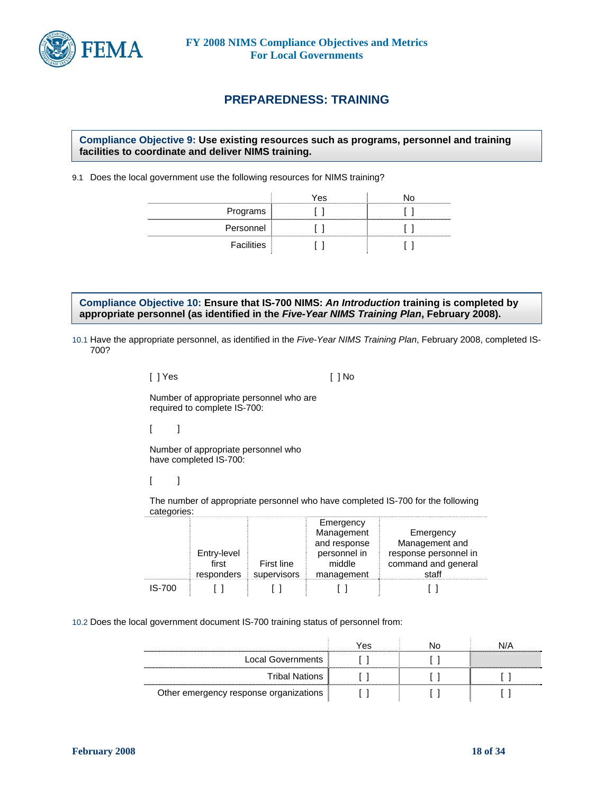

## **PREPAREDNESS: TRAINING**

**Compliance Objective 9: Use existing resources such as programs, personnel and training facilities to coordinate and deliver NIMS training.**

9.1 Does the local government use the following resources for NIMS training?

|            | Yes | חו |
|------------|-----|----|
| Programs   |     |    |
| Personnel  |     |    |
| Facilities |     |    |

**Compliance Objective 10: Ensure that IS-700 NIMS:** *An Introduction* **training is completed by appropriate personnel (as identified in the** *Five-Year NIMS Training Plan***, February 2008).** 

10.1 Have the appropriate personnel, as identified in the *Five-Year NIMS Training Plan*, February 2008, completed IS-700?

| []Yes | [ ] No |
|-------|--------|
|-------|--------|

Number of appropriate personnel who are required to complete IS-700:

 $[$   $]$ 

Number of appropriate personnel who have completed IS-700:

 $\lceil$   $\lceil$ 

The number of appropriate personnel who have completed IS-700 for the following categories:

|        | Entry-level<br>first<br>responders | First line<br>supervisors | Emergency<br>Management<br>and response<br>personnel in<br>middle<br>management | Emergency<br>Management and<br>response personnel in<br>command and general<br>staff |
|--------|------------------------------------|---------------------------|---------------------------------------------------------------------------------|--------------------------------------------------------------------------------------|
| IS-700 |                                    |                           |                                                                                 |                                                                                      |

10.2 Does the local government document IS-700 training status of personnel from:

|                                        | Yes | חוח |                              |
|----------------------------------------|-----|-----|------------------------------|
| Local Governments                      |     |     |                              |
| Tribal Nations                         |     |     | ---------------------------- |
| Other emergency response organizations |     |     |                              |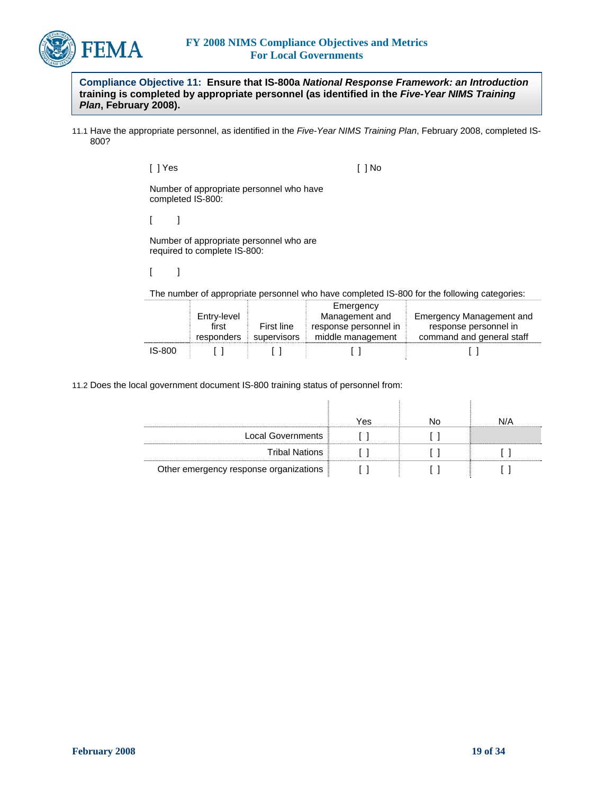

**Compliance Objective 11: Ensure that IS-800a** *National Response Framework: an Introduction* **training is completed by appropriate personnel (as identified in the** *Five-Year NIMS Training Plan***, February 2008).** 

11.1 Have the appropriate personnel, as identified in the *Five-Year NIMS Training Plan*, February 2008, completed IS-800?

[ ] Yes [ ] No

Number of appropriate personnel who have completed IS-800:

 $[$   $]$ 

Number of appropriate personnel who are required to complete IS-800:

 $[$   $]$ 

The number of appropriate personnel who have completed IS-800 for the following categories:

|        |             |             | Emergency             |                                 |
|--------|-------------|-------------|-----------------------|---------------------------------|
|        | Entry-level |             | Management and        | <b>Emergency Management and</b> |
|        | first       | First line  | response personnel in | response personnel in           |
|        | responders  | supervisors | middle management     | command and general staff       |
| IS-800 |             |             |                       |                                 |

11.2 Does the local government document IS-800 training status of personnel from:

|                                        | Yes | Nn | N/A |
|----------------------------------------|-----|----|-----|
| Local Governments                      |     |    |     |
| <b>Tribal Nations</b>                  |     |    |     |
| Other emergency response organizations |     |    |     |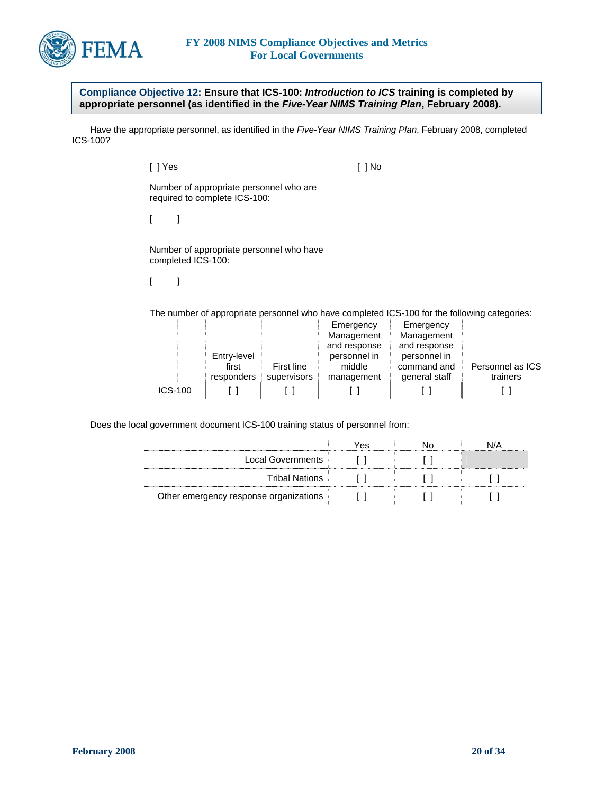

**Compliance Objective 12: Ensure that ICS-100:** *Introduction to ICS* **training is completed by appropriate personnel (as identified in the** *Five-Year NIMS Training Plan***, February 2008).** 

 Have the appropriate personnel, as identified in the *Five-Year NIMS Training Plan*, February 2008, completed ICS-100?

> [ ] Yes [ ] No Number of appropriate personnel who are required to complete ICS-100:

 $\lceil$   $\lceil$ 

Number of appropriate personnel who have completed ICS-100:

 $[$   $]$ 

The number of appropriate personnel who have completed ICS-100 for the following categories:

|                |             |             | Emergency    | Emergency     |                  |
|----------------|-------------|-------------|--------------|---------------|------------------|
|                |             |             | Management   | Management    |                  |
|                |             |             | and response | and response  |                  |
|                | Entry-level |             | personnel in | personnel in  |                  |
|                | first       | First line  | middle       | command and   | Personnel as ICS |
|                | responders  | supervisors | management   | general staff | trainers         |
| <b>ICS-100</b> |             |             |              |               |                  |

Does the local government document ICS-100 training status of personnel from:

|                                        | Yes | \I/A |
|----------------------------------------|-----|------|
| Local Governments                      |     |      |
| <b>Tribal Nations</b>                  |     |      |
| Other emergency response organizations |     |      |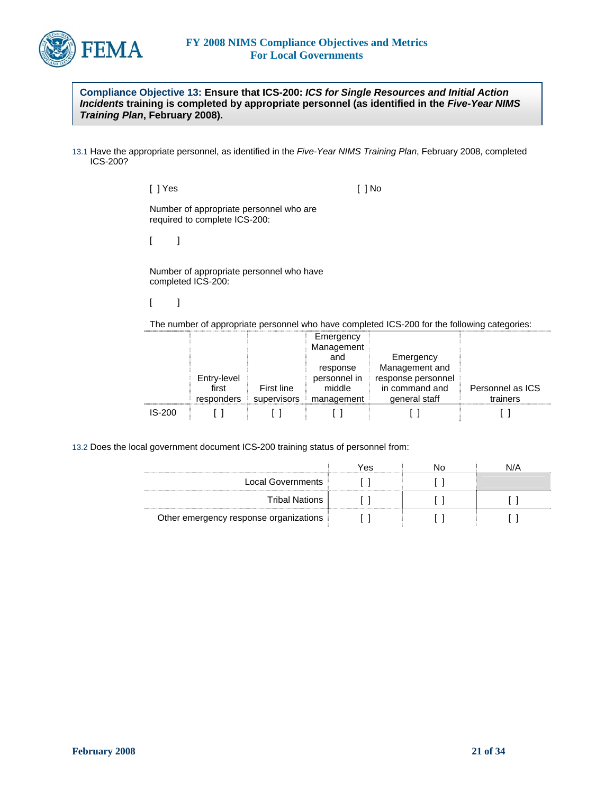

**Compliance Objective 13: Ensure that ICS-200:** *ICS for Single Resources and Initial Action Incidents* **training is completed by appropriate personnel (as identified in the** *Five-Year NIMS Training Plan***, February 2008).** 

13.1 Have the appropriate personnel, as identified in the *Five-Year NIMS Training Plan*, February 2008, completed ICS-200?

[ ] Yes [ ] No

Number of appropriate personnel who are required to complete ICS-200:

 $[$  ]

Number of appropriate personnel who have completed ICS-200:

 $[$   $]$ 

The number of appropriate personnel who have completed ICS-200 for the following categories:

|               |             |             | Emergency    |                    |                  |
|---------------|-------------|-------------|--------------|--------------------|------------------|
|               |             |             | Management   |                    |                  |
|               |             |             | and          | Emergency          |                  |
|               |             |             | response     | Management and     |                  |
|               | Entry-level |             | personnel in | response personnel |                  |
|               | first       | First line  | middle       | in command and     | Personnel as ICS |
|               | responders  | supervisors | management   | general staff      | trainers         |
| <b>IS-200</b> |             |             |              |                    |                  |

13.2 Does the local government document ICS-200 training status of personnel from:

|                                        | Yes | חצו | \J/A |
|----------------------------------------|-----|-----|------|
| Local Governments                      |     |     |      |
| <b>Tribal Nations</b>                  |     |     |      |
| Other emergency response organizations |     |     |      |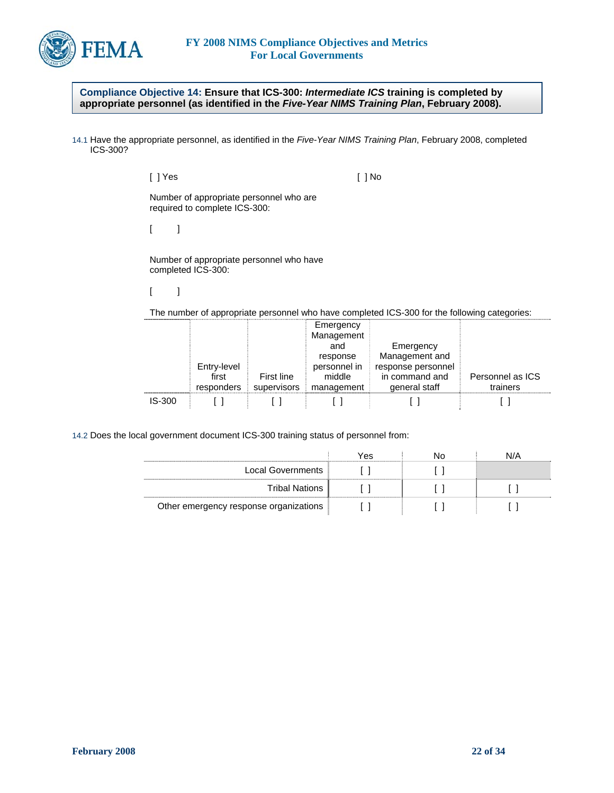

**Compliance Objective 14: Ensure that ICS-300:** *Intermediate ICS* **training is completed by appropriate personnel (as identified in the** *Five-Year NIMS Training Plan***, February 2008).** 

14.1 Have the appropriate personnel, as identified in the *Five-Year NIMS Training Plan*, February 2008, completed ICS-300?

> [ ] Yes [ ] No Number of appropriate personnel who are required to complete ICS-300:  $[$   $]$

Number of appropriate personnel who have completed ICS-300:

 $[$   $]$ 

The number of appropriate personnel who have completed ICS-300 for the following categories:

|               |             |             | Emergency    |                    |                  |
|---------------|-------------|-------------|--------------|--------------------|------------------|
|               |             |             | Management   |                    |                  |
|               |             |             | and          | Emergency          |                  |
|               |             |             | response     | Management and     |                  |
|               | Entry-level |             | personnel in | response personnel |                  |
|               | first       | First line  | middle       | in command and     | Personnel as ICS |
|               | responders  | supervisors | management   | general staff      | trainers         |
| <b>IS-300</b> |             |             |              |                    |                  |

14.2 Does the local government document ICS-300 training status of personnel from:

|                                        | Yes | NC | N/A |
|----------------------------------------|-----|----|-----|
| Local Governments                      |     |    |     |
| Tribal Nations                         |     |    |     |
| Other emergency response organizations |     |    |     |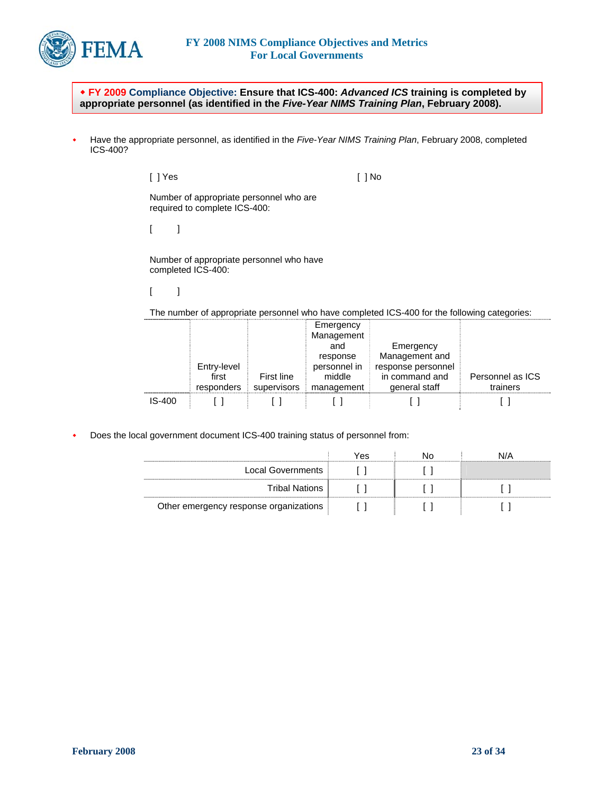

 **FY 2009 Compliance Objective: Ensure that ICS-400:** *Advanced ICS* **training is completed by appropriate personnel (as identified in the** *Five-Year NIMS Training Plan***, February 2008).** 

 Have the appropriate personnel, as identified in the *Five-Year NIMS Training Plan*, February 2008, completed ICS-400?

> [ ] Yes [ ] No Number of appropriate personnel who are required to complete ICS-400:  $[$   $]$

Number of appropriate personnel who have completed ICS-400:

 $[$   $]$ 

The number of appropriate personnel who have completed ICS-400 for the following categories:

|          |             |             | Emergency<br>Management |                    |                  |
|----------|-------------|-------------|-------------------------|--------------------|------------------|
|          |             |             | and                     | Emergency          |                  |
|          |             |             | response                | Management and     |                  |
|          | Entry-level |             | personnel in            | response personnel |                  |
|          | first       | First line  | middle                  | in command and     | Personnel as ICS |
|          | responders  | supervisors | management              | general staff      | trainers         |
| $IS-400$ |             |             |                         |                    |                  |

Does the local government document ICS-400 training status of personnel from:

|                                        | Yes |  |
|----------------------------------------|-----|--|
| Local Governments                      |     |  |
| Tribal Nations                         |     |  |
| Other emergency response organizations |     |  |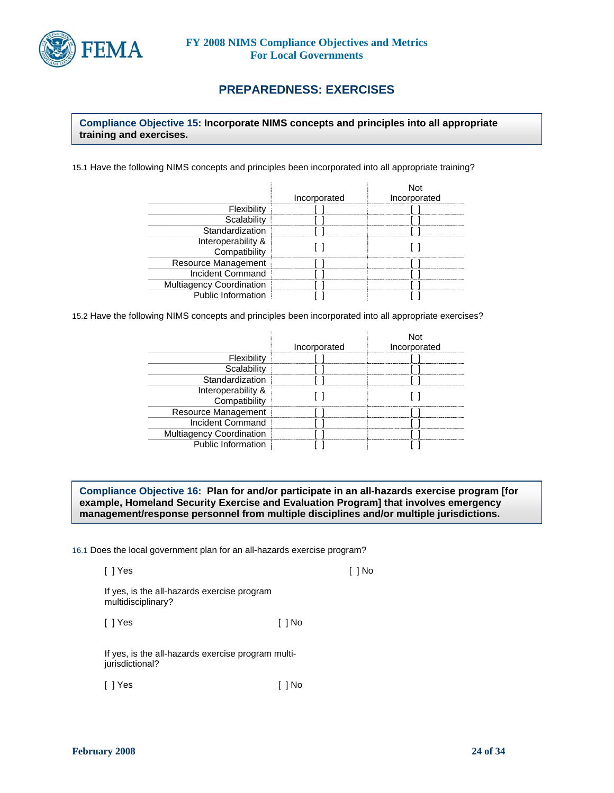

## **PREPAREDNESS: EXERCISES**

## **Compliance Objective 15: Incorporate NIMS concepts and principles into all appropriate training and exercises.**

15.1 Have the following NIMS concepts and principles been incorporated into all appropriate training?

|                                 | Incorporated | <b>Not</b><br>Incorporated |
|---------------------------------|--------------|----------------------------|
| Flexibility                     |              |                            |
| Scalability                     |              |                            |
| Standardization                 |              |                            |
| Interoperability &              |              |                            |
| Compatibility                   |              |                            |
| Resource Management             |              |                            |
| Incident Command                |              |                            |
| <b>Multiagency Coordination</b> |              |                            |
| Public Information              |              |                            |

15.2 Have the following NIMS concepts and principles been incorporated into all appropriate exercises?

|                                     | Incorporated | Incorporated |
|-------------------------------------|--------------|--------------|
| Flexibility                         |              |              |
| Scalability                         |              |              |
| Standardization                     |              |              |
| Interoperability &<br>Compatibility |              |              |
| Resource Management                 |              |              |
| Incident Command                    |              |              |
| <b>Multiagency Coordination</b>     |              |              |
| Public Information                  |              |              |

**Compliance Objective 16: Plan for and/or participate in an all-hazards exercise program [for example, Homeland Security Exercise and Evaluation Program] that involves emergency management/response personnel from multiple disciplines and/or multiple jurisdictions.** 

16.1 Does the local government plan for an all-hazards exercise program?

[ ] Yes [ ] No

If yes, is the all-hazards exercise program multidisciplinary?

[ ] Yes [ ] No

If yes, is the all-hazards exercise program multijurisdictional?

[ ] Yes [ ] No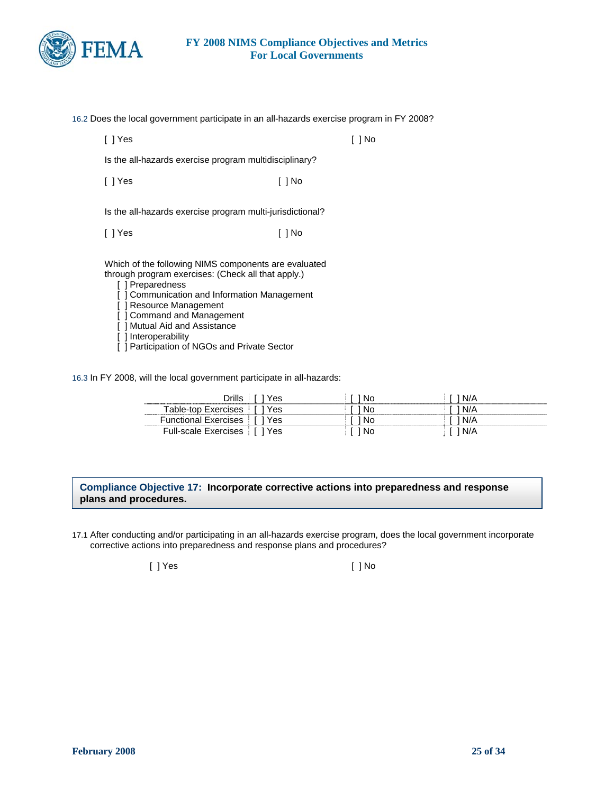

16.2 Does the local government participate in an all-hazards exercise program in FY 2008?

[ ] Yes [ ] No

Is the all-hazards exercise program multidisciplinary?

[ ] Yes [ ] No

Is the all-hazards exercise program multi-jurisdictional?

[ ] Yes [ ] No

Which of the following NIMS components are evaluated through program exercises: (Check all that apply.)

[ ] Preparedness

[ ] Communication and Information Management

] Resource Management

[ ] Command and Management

[ ] Mutual Aid and Assistance

- [ ] Interoperability
- [ ] Participation of NGOs and Private Sector

16.3 In FY 2008, will the local government participate in all-hazards:

| es<br>-----------           |     |  |
|-----------------------------|-----|--|
| es                          |     |  |
| es<br><b>FUDC</b>           |     |  |
| Full-scale Exercises<br>′es | .No |  |

### **Compliance Objective 17: Incorporate corrective actions into preparedness and response plans and procedures.**

17.1 After conducting and/or participating in an all-hazards exercise program, does the local government incorporate corrective actions into preparedness and response plans and procedures?

[ ] Yes [ ] No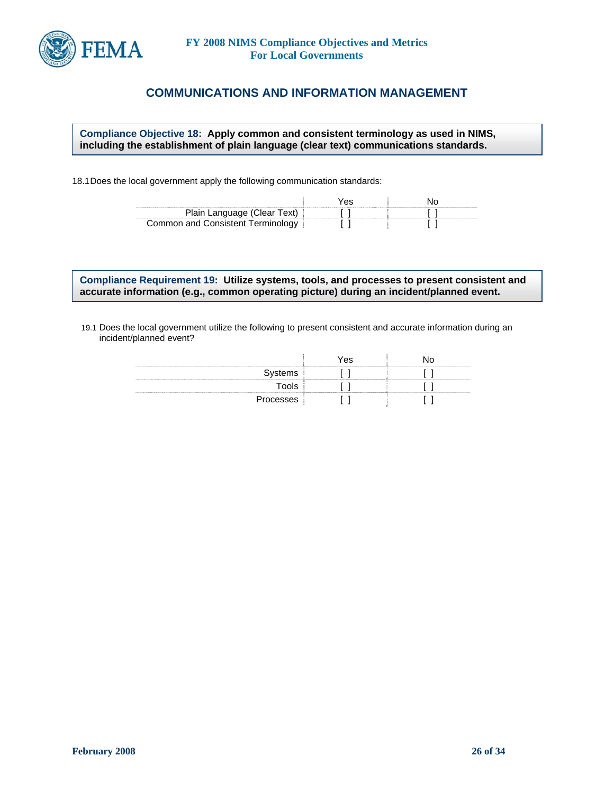

## **COMMUNICATIONS AND INFORMATION MANAGEMENT**

**Compliance Objective 18: Apply common and consistent terminology as used in NIMS, including the establishment of plain language (clear text) communications standards.** 

18.1 Does the local government apply the following communication standards:

|                                | ′es |  |
|--------------------------------|-----|--|
| Plain Language (Clear Text)    |     |  |
| Common and Consistent Terminol |     |  |

**Compliance Requirement 19: Utilize systems, tools, and processes to present consistent and accurate information (e.g., common operating picture) during an incident/planned event.** 

19.1 Does the local government utilize the following to present consistent and accurate information during an incident/planned event?

|           | es. |  |
|-----------|-----|--|
| Systems   |     |  |
| ™ools     |     |  |
| Processes |     |  |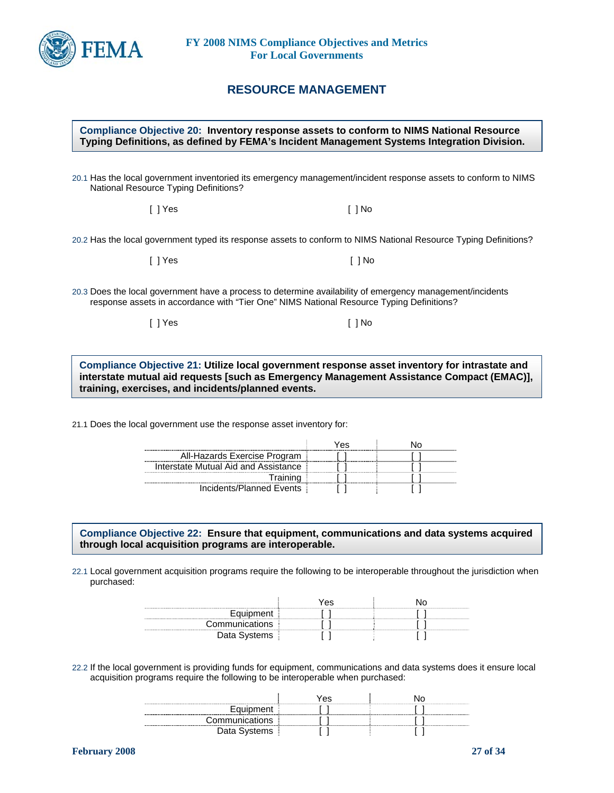

## **RESOURCE MANAGEMENT**

#### **Compliance Objective 20: Inventory response assets to conform to NIMS National Resource Typing Definitions, as defined by FEMA's Incident Management Systems Integration Division.**

20.1 Has the local government inventoried its emergency management/incident response assets to conform to NIMS National Resource Typing Definitions?

[ ] Yes [ ] No

20.2 Has the local government typed its response assets to conform to NIMS National Resource Typing Definitions?

| [ ] Yes |
|---------|
|---------|

20.3 Does the local government have a process to determine availability of emergency management/incidents response assets in accordance with "Tier One" NIMS National Resource Typing Definitions?

[ ] Yes [ ] No

 $[ ]$  No

**Compliance Objective 21: Utilize local government response asset inventory for intrastate and interstate mutual aid requests [such as Emergency Management Assistance Compact (EMAC)], training, exercises, and incidents/planned events.** 

21.1 Does the local government use the response asset inventory for:

|                                      | 7es |  |
|--------------------------------------|-----|--|
| All-Hazards Exercise Program         |     |  |
| Interstate Mutual Aid and Assistance |     |  |
| Training                             |     |  |
| Incidents/Planned Events             |     |  |

**Compliance Objective 22: Ensure that equipment, communications and data systems acquired through local acquisition programs are interoperable.** 

22.1 Local government acquisition programs require the following to be interoperable throughout the jurisdiction when purchased:

|                | Yes |  |
|----------------|-----|--|
| Equipment      |     |  |
| Communications |     |  |
|                |     |  |

22.2 If the local government is providing funds for equipment, communications and data systems does it ensure local acquisition programs require the following to be interoperable when purchased:

|                | Yes |  |
|----------------|-----|--|
| Equipment      |     |  |
| Communications |     |  |
| Data Systems   |     |  |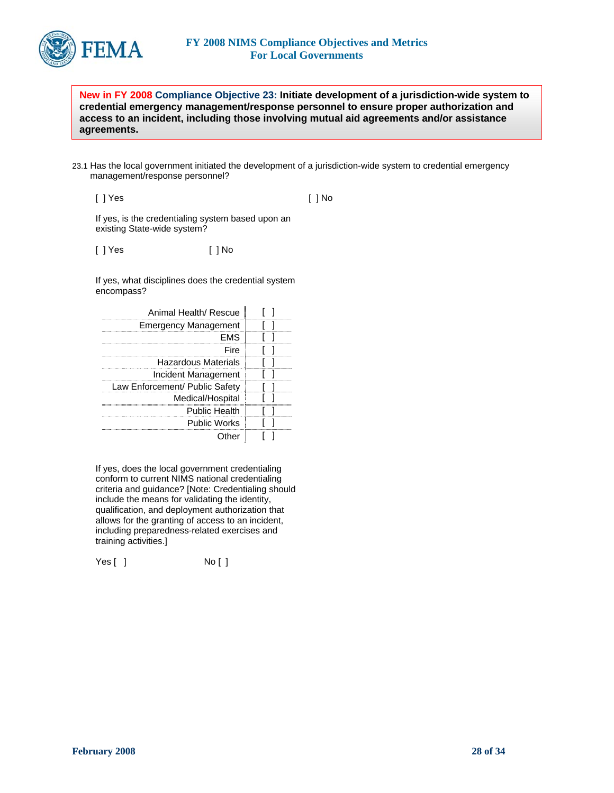

**New in FY 2008 Compliance Objective 23: Initiate development of a jurisdiction-wide system to credential emergency management/response personnel to ensure proper authorization and access to an incident, including those involving mutual aid agreements and/or assistance agreements.** 

23.1 Has the local government initiated the development of a jurisdiction-wide system to credential emergency management/response personnel?

[ ] Yes

[ ] No

If yes, is the credentialing system based upon an existing State-wide system?

[ ] Yes [ ] No

If yes, what disciplines does the credential system encompass?

| Animal Health/ Rescue                   |  |
|-----------------------------------------|--|
| <b>Emergency Management</b>             |  |
| FMS                                     |  |
| Fire                                    |  |
| Hazardous Materials                     |  |
| Incident Management                     |  |
| Law Enforcement/ Public Safety<br>----- |  |
| Medical/Hospital                        |  |
| Public Health                           |  |
| <b>Public Works</b>                     |  |
|                                         |  |

If yes, does the local government credentialing conform to current NIMS national credentialing criteria and guidance? [Note: Credentialing should include the means for validating the identity, qualification, and deployment authorization that allows for the granting of access to an incident, including preparedness-related exercises and training activities.]

Yes [ ] No [ ]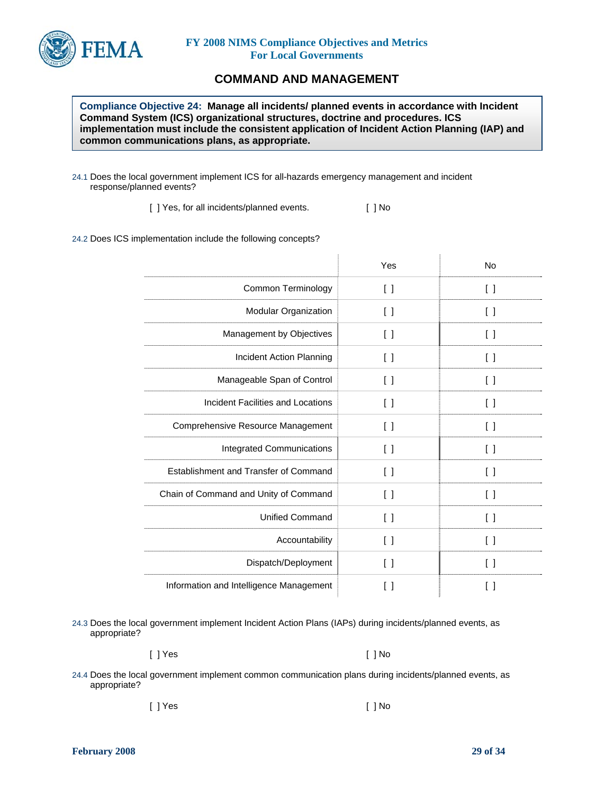

## **COMMAND AND MANAGEMENT**

**Compliance Objective 24: Manage all incidents/ planned events in accordance with Incident Command System (ICS) organizational structures, doctrine and procedures. ICS implementation must include the consistent application of Incident Action Planning (IAP) and common communications plans, as appropriate.** 

24.1 Does the local government implement ICS for all-hazards emergency management and incident response/planned events?

[ ] Yes, for all incidents/planned events. [ ] No

24.2 Does ICS implementation include the following concepts?

|                                          | Yes                                           | <b>No</b>                                     |
|------------------------------------------|-----------------------------------------------|-----------------------------------------------|
| Common Terminology                       | $\left[ \begin{array}{c} \end{array} \right]$ | $\begin{smallmatrix} \end{smallmatrix}$       |
| Modular Organization                     | $\left[ \ \right]$                            | $\begin{smallmatrix} \end{smallmatrix}$       |
| Management by Objectives                 | []                                            | $\begin{smallmatrix} \end{smallmatrix}$       |
| Incident Action Planning                 | $\left[ \quad \right]$                        | $\left[ \begin{array}{c} \end{array} \right]$ |
| Manageable Span of Control               | $\left[ \ \right]$                            | $\begin{smallmatrix} \end{smallmatrix}$       |
| <b>Incident Facilities and Locations</b> | $\left[ \quad \right]$                        | $\left[ \quad \right]$                        |
| Comprehensive Resource Management        | $\Box$                                        | $\begin{smallmatrix} \end{smallmatrix}$       |
| Integrated Communications                | $\left[ \ \right]$                            | $\left[ \begin{array}{c} \end{array} \right]$ |
| Establishment and Transfer of Command    | $\lceil$ $\rceil$                             | $\left[ \begin{array}{c} \end{array} \right]$ |
| Chain of Command and Unity of Command    | $\lceil$ $\rceil$                             | $\left[ \begin{array}{c} \end{array} \right]$ |
| <b>Unified Command</b>                   | $\left[ \ \right]$                            | $\begin{bmatrix} \end{bmatrix}$               |
| Accountability                           | $\left[ \quad \right]$                        | $\Box$                                        |
| Dispatch/Deployment                      | $\left[ \begin{array}{c} \end{array} \right]$ | $\begin{smallmatrix} \end{smallmatrix}$       |
| Information and Intelligence Management  | [ ]                                           | I l                                           |

24.3 Does the local government implement Incident Action Plans (IAPs) during incidents/planned events, as appropriate?

[ ] Yes [ ] No

24.4 Does the local government implement common communication plans during incidents/planned events, as appropriate?

[ ] Yes [ ] No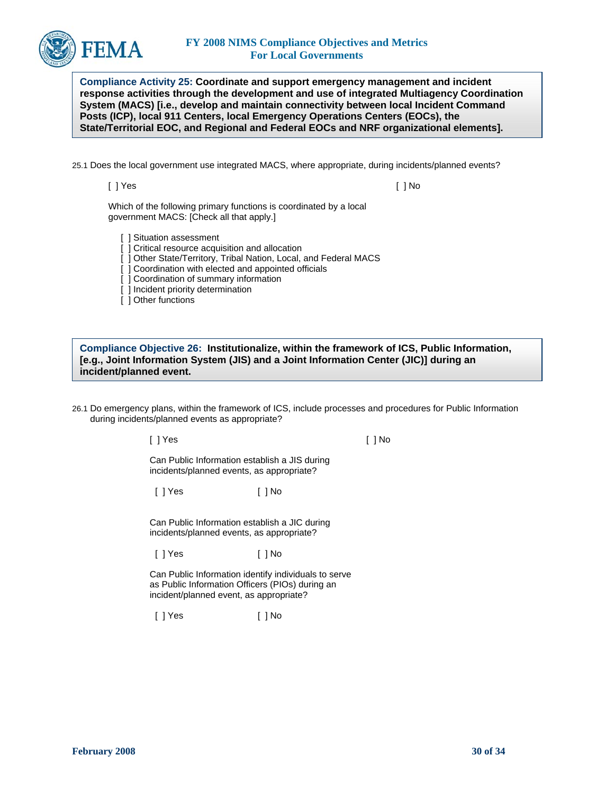

**Compliance Activity 25: Coordinate and support emergency management and incident response activities through the development and use of integrated Multiagency Coordination System (MACS) [i.e., develop and maintain connectivity between local Incident Command Posts (ICP), local 911 Centers, local Emergency Operations Centers (EOCs), the State/Territorial EOC, and Regional and Federal EOCs and NRF organizational elements].** 

25.1 Does the local government use integrated MACS, where appropriate, during incidents/planned events?

[ ] Yes [ ] No

Which of the following primary functions is coordinated by a local government MACS: [Check all that apply.]

Situation assessment

- [ ] Critical resource acquisition and allocation
- [ ] Other State/Territory, Tribal Nation, Local, and Federal MACS
- ] Coordination with elected and appointed officials
- [ ] Coordination of summary information
- [ ] Incident priority determination
- [ ] Other functions

**Compliance Objective 26: Institutionalize, within the framework of ICS, Public Information, [e.g., Joint Information System (JIS) and a Joint Information Center (JIC)] during an incident/planned event.** 

26.1 Do emergency plans, within the framework of ICS, include processes and procedures for Public Information during incidents/planned events as appropriate?

[ ] Yes [ ] No

Can Public Information establish a JIS during incidents/planned events, as appropriate?

[ ] Yes [ ] No

Can Public Information establish a JIC during incidents/planned events, as appropriate?

[ ] Yes [ ] No

Can Public Information identify individuals to serve as Public Information Officers (PIOs) during an incident/planned event, as appropriate?

[ ] Yes [ ] No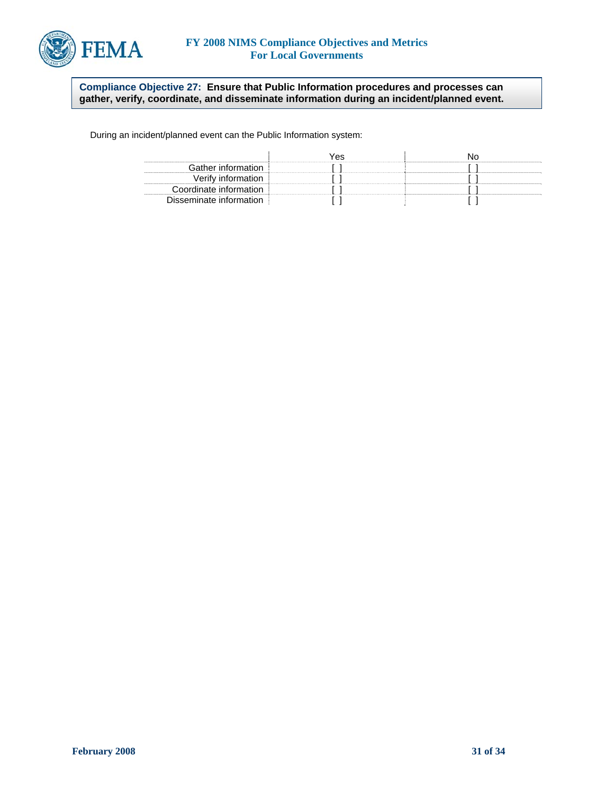

**Compliance Objective 27: Ensure that Public Information procedures and processes can gather, verify, coordinate, and disseminate information during an incident/planned event.** 

During an incident/planned event can the Public Information system:

|                         | ΆS. |  |
|-------------------------|-----|--|
| Gather information      |     |  |
| Verity intormation      |     |  |
| Coordinate information  |     |  |
| Disseminate information |     |  |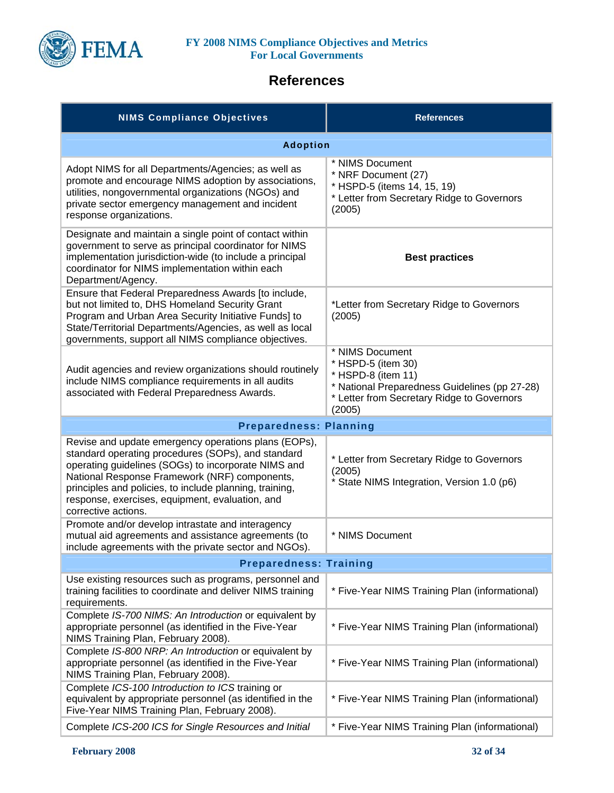

# **References**

| <b>NIMS Compliance Objectives</b>                                                                                                                                                                                                                                                                                                                       | <b>References</b>                                                                                                                                                    |  |
|---------------------------------------------------------------------------------------------------------------------------------------------------------------------------------------------------------------------------------------------------------------------------------------------------------------------------------------------------------|----------------------------------------------------------------------------------------------------------------------------------------------------------------------|--|
| <b>Adoption</b>                                                                                                                                                                                                                                                                                                                                         |                                                                                                                                                                      |  |
| Adopt NIMS for all Departments/Agencies; as well as<br>promote and encourage NIMS adoption by associations,<br>utilities, nongovernmental organizations (NGOs) and<br>private sector emergency management and incident<br>response organizations.                                                                                                       | * NIMS Document<br>* NRF Document (27)<br>* HSPD-5 (items 14, 15, 19)<br>* Letter from Secretary Ridge to Governors<br>(2005)                                        |  |
| Designate and maintain a single point of contact within<br>government to serve as principal coordinator for NIMS<br>implementation jurisdiction-wide (to include a principal<br>coordinator for NIMS implementation within each<br>Department/Agency.                                                                                                   | <b>Best practices</b>                                                                                                                                                |  |
| Ensure that Federal Preparedness Awards [to include,<br>but not limited to, DHS Homeland Security Grant<br>Program and Urban Area Security Initiative Funds] to<br>State/Territorial Departments/Agencies, as well as local<br>governments, support all NIMS compliance objectives.                                                                     | *Letter from Secretary Ridge to Governors<br>(2005)                                                                                                                  |  |
| Audit agencies and review organizations should routinely<br>include NIMS compliance requirements in all audits<br>associated with Federal Preparedness Awards.                                                                                                                                                                                          | * NIMS Document<br>* HSPD-5 (item 30)<br>* HSPD-8 (item 11)<br>* National Preparedness Guidelines (pp 27-28)<br>* Letter from Secretary Ridge to Governors<br>(2005) |  |
| <b>Preparedness: Planning</b>                                                                                                                                                                                                                                                                                                                           |                                                                                                                                                                      |  |
| Revise and update emergency operations plans (EOPs),<br>standard operating procedures (SOPs), and standard<br>operating guidelines (SOGs) to incorporate NIMS and<br>National Response Framework (NRF) components,<br>principles and policies, to include planning, training,<br>response, exercises, equipment, evaluation, and<br>corrective actions. | * Letter from Secretary Ridge to Governors<br>(2005)<br>* State NIMS Integration, Version 1.0 (p6)                                                                   |  |
| Promote and/or develop intrastate and interagency<br>mutual aid agreements and assistance agreements (to<br>include agreements with the private sector and NGOs).                                                                                                                                                                                       | * NIMS Document                                                                                                                                                      |  |
| <b>Preparedness: Training</b>                                                                                                                                                                                                                                                                                                                           |                                                                                                                                                                      |  |
| Use existing resources such as programs, personnel and<br>training facilities to coordinate and deliver NIMS training<br>requirements.                                                                                                                                                                                                                  | * Five-Year NIMS Training Plan (informational)                                                                                                                       |  |
| Complete IS-700 NIMS: An Introduction or equivalent by<br>appropriate personnel (as identified in the Five-Year<br>NIMS Training Plan, February 2008).                                                                                                                                                                                                  | * Five-Year NIMS Training Plan (informational)                                                                                                                       |  |
| Complete IS-800 NRP: An Introduction or equivalent by<br>appropriate personnel (as identified in the Five-Year<br>NIMS Training Plan, February 2008).                                                                                                                                                                                                   | * Five-Year NIMS Training Plan (informational)                                                                                                                       |  |
| Complete ICS-100 Introduction to ICS training or<br>equivalent by appropriate personnel (as identified in the<br>Five-Year NIMS Training Plan, February 2008).                                                                                                                                                                                          | * Five-Year NIMS Training Plan (informational)                                                                                                                       |  |
| Complete ICS-200 ICS for Single Resources and Initial                                                                                                                                                                                                                                                                                                   | * Five-Year NIMS Training Plan (informational)                                                                                                                       |  |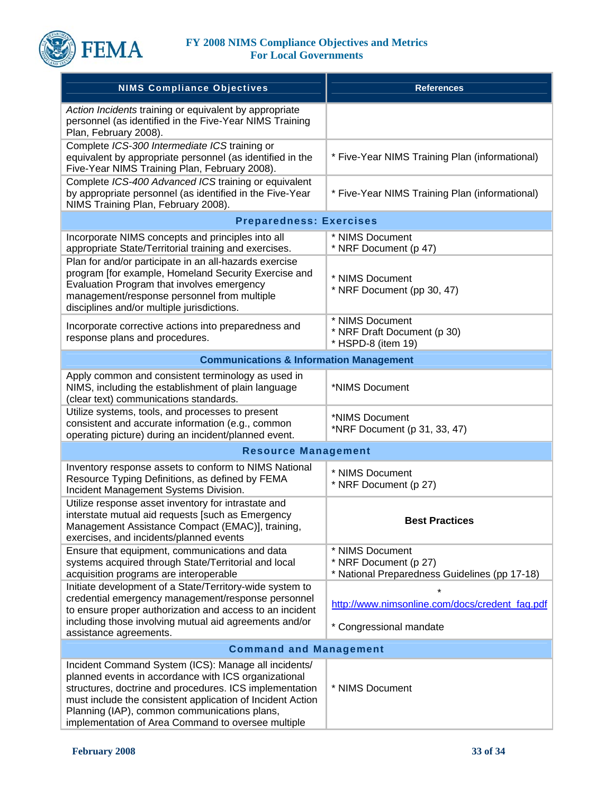

| <b>NIMS Compliance Objectives</b>                                                                                                                                                                                                                                                                                                           | <b>References</b>                                                                         |  |
|---------------------------------------------------------------------------------------------------------------------------------------------------------------------------------------------------------------------------------------------------------------------------------------------------------------------------------------------|-------------------------------------------------------------------------------------------|--|
| Action Incidents training or equivalent by appropriate<br>personnel (as identified in the Five-Year NIMS Training<br>Plan, February 2008).                                                                                                                                                                                                  |                                                                                           |  |
| Complete ICS-300 Intermediate ICS training or<br>equivalent by appropriate personnel (as identified in the<br>Five-Year NIMS Training Plan, February 2008).                                                                                                                                                                                 | * Five-Year NIMS Training Plan (informational)                                            |  |
| Complete ICS-400 Advanced ICS training or equivalent<br>by appropriate personnel (as identified in the Five-Year<br>NIMS Training Plan, February 2008).                                                                                                                                                                                     | * Five-Year NIMS Training Plan (informational)                                            |  |
| <b>Preparedness: Exercises</b>                                                                                                                                                                                                                                                                                                              |                                                                                           |  |
| Incorporate NIMS concepts and principles into all<br>appropriate State/Territorial training and exercises.                                                                                                                                                                                                                                  | * NIMS Document<br>* NRF Document (p 47)                                                  |  |
| Plan for and/or participate in an all-hazards exercise<br>program [for example, Homeland Security Exercise and<br>Evaluation Program that involves emergency<br>management/response personnel from multiple<br>disciplines and/or multiple jurisdictions.                                                                                   | * NIMS Document<br>* NRF Document (pp 30, 47)                                             |  |
| Incorporate corrective actions into preparedness and<br>response plans and procedures.                                                                                                                                                                                                                                                      | * NIMS Document<br>* NRF Draft Document (p 30)<br>* HSPD-8 (item 19)                      |  |
| <b>Communications &amp; Information Management</b>                                                                                                                                                                                                                                                                                          |                                                                                           |  |
| Apply common and consistent terminology as used in<br>NIMS, including the establishment of plain language<br>(clear text) communications standards.                                                                                                                                                                                         | *NIMS Document                                                                            |  |
| Utilize systems, tools, and processes to present<br>consistent and accurate information (e.g., common<br>operating picture) during an incident/planned event.                                                                                                                                                                               | *NIMS Document<br>*NRF Document (p 31, 33, 47)                                            |  |
| <b>Resource Management</b>                                                                                                                                                                                                                                                                                                                  |                                                                                           |  |
| Inventory response assets to conform to NIMS National<br>Resource Typing Definitions, as defined by FEMA<br>Incident Management Systems Division.                                                                                                                                                                                           | * NIMS Document<br>* NRF Document (p 27)                                                  |  |
| Utilize response asset inventory for intrastate and<br>interstate mutual aid requests [such as Emergency<br>Management Assistance Compact (EMAC)], training,<br>exercises, and incidents/planned events                                                                                                                                     | <b>Best Practices</b>                                                                     |  |
| Ensure that equipment, communications and data<br>systems acquired through State/Territorial and local<br>acquisition programs are interoperable                                                                                                                                                                                            | * NIMS Document<br>* NRF Document (p 27)<br>* National Preparedness Guidelines (pp 17-18) |  |
| Initiate development of a State/Territory-wide system to<br>credential emergency management/response personnel<br>to ensure proper authorization and access to an incident                                                                                                                                                                  | http://www.nimsonline.com/docs/credent_faq.pdf                                            |  |
| including those involving mutual aid agreements and/or<br>assistance agreements.                                                                                                                                                                                                                                                            | * Congressional mandate                                                                   |  |
| <b>Command and Management</b>                                                                                                                                                                                                                                                                                                               |                                                                                           |  |
| Incident Command System (ICS): Manage all incidents/<br>planned events in accordance with ICS organizational<br>structures, doctrine and procedures. ICS implementation<br>must include the consistent application of Incident Action<br>Planning (IAP), common communications plans,<br>implementation of Area Command to oversee multiple | * NIMS Document                                                                           |  |